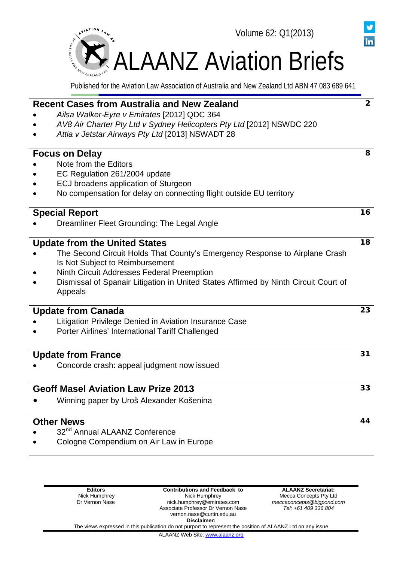

|  | <b>Recent Cases from Australia and New Zealand</b>                                                                        | $\overline{2}$ |  |  |  |
|--|---------------------------------------------------------------------------------------------------------------------------|----------------|--|--|--|
|  | Ailsa Walker-Eyre v Emirates [2012] QDC 364                                                                               |                |  |  |  |
|  | AV8 Air Charter Pty Ltd v Sydney Helicopters Pty Ltd [2012] NSWDC 220<br>Attia v Jetstar Airways Pty Ltd [2013] NSWADT 28 |                |  |  |  |
|  |                                                                                                                           |                |  |  |  |
|  |                                                                                                                           |                |  |  |  |
|  | <b>Focus on Delay</b>                                                                                                     | 8              |  |  |  |
|  | Note from the Editors                                                                                                     |                |  |  |  |
|  | EC Regulation 261/2004 update                                                                                             |                |  |  |  |
|  | <b>ECJ broadens application of Sturgeon</b>                                                                               |                |  |  |  |
|  | No compensation for delay on connecting flight outside EU territory                                                       |                |  |  |  |
|  | <b>Special Report</b>                                                                                                     | 16             |  |  |  |
|  | Dreamliner Fleet Grounding: The Legal Angle                                                                               |                |  |  |  |
|  | <b>Update from the United States</b>                                                                                      | 18             |  |  |  |
|  | The Second Circuit Holds That County's Emergency Response to Airplane Crash                                               |                |  |  |  |
|  | Is Not Subject to Reimbursement                                                                                           |                |  |  |  |
|  | <b>Ninth Circuit Addresses Federal Preemption</b>                                                                         |                |  |  |  |
|  | Dismissal of Spanair Litigation in United States Affirmed by Ninth Circuit Court of                                       |                |  |  |  |
|  | Appeals                                                                                                                   |                |  |  |  |
|  | <b>Update from Canada</b>                                                                                                 | 23             |  |  |  |
|  | Litigation Privilege Denied in Aviation Insurance Case                                                                    |                |  |  |  |
|  | Porter Airlines' International Tariff Challenged                                                                          |                |  |  |  |
|  |                                                                                                                           |                |  |  |  |
|  | <b>Update from France</b>                                                                                                 | 31             |  |  |  |
|  | Concorde crash: appeal judgment now issued                                                                                |                |  |  |  |
|  |                                                                                                                           |                |  |  |  |
|  | <b>Geoff Masel Aviation Law Prize 2013</b>                                                                                | 33             |  |  |  |
|  | Winning paper by Uroš Alexander Košenina                                                                                  |                |  |  |  |
|  | <b>Other News</b>                                                                                                         | 44             |  |  |  |
|  | 32 <sup>nd</sup> Annual ALAANZ Conference                                                                                 |                |  |  |  |
|  | Cologne Compendium on Air Law in Europe                                                                                   |                |  |  |  |
|  |                                                                                                                           |                |  |  |  |
|  |                                                                                                                           |                |  |  |  |
|  |                                                                                                                           |                |  |  |  |
|  |                                                                                                                           |                |  |  |  |

**ALAANZ Secretariat:**

Mecca Concepts Pty Ltd *meccaconcepts@bigpond.com Tel: +61 409 336 804*

in

vernon.nase@curtin.edu.au **Disclaimer:** The views expressed in this publication do not purport to represent the position of ALAANZ Ltd on any issue

**Contributions and Feedback to** Nick Humphrey nick.humphrey@emirates.com Associate Professor Dr Vernon Nase

ALAANZ Web Site[: www.alaanz.org](http://www.alaanz.org/)

**Editors** Nick Humphrey Dr Vernon Nase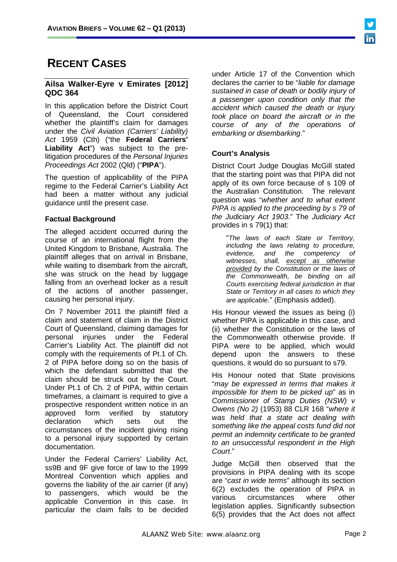# **RECENT CASES**

# **Ailsa Walker-Eyre v Emirates [2012] QDC 364**

In this application before the District Court of Queensland, the Court considered whether the plaintiff's claim for damages under the *Civil Aviation (Carriers' Liability) Act* 1959 (Cth) ("the **Federal Carriers' Liability Act**") was subject to the prelitigation procedures of the *Personal Injuries Proceedings Act* 2002 (Qld) ("**PIPA**").

The question of applicability of the PIPA regime to the Federal Carrier's Liability Act had been a matter without any judicial guidance until the present case.

# **Factual Background**

The alleged accident occurred during the course of an international flight from the United Kingdom to Brisbane, Australia. The plaintiff alleges that on arrival in Brisbane, while waiting to disembark from the aircraft, she was struck on the head by luggage falling from an overhead locker as a result of the actions of another passenger, causing her personal injury.

On 7 November 2011 the plaintiff filed a claim and statement of claim in the District Court of Queensland, claiming damages for personal injuries under the Federal Carrier's Liability Act. The plaintiff did not comply with the requirements of Pt.1 of Ch. 2 of PIPA before doing so on the basis of which the defendant submitted that the claim should be struck out by the Court. Under Pt.1 of Ch. 2 of PIPA, within certain timeframes, a claimant is required to give a prospective respondent written notice in an approved form verified by statutory declaration which sets out the circumstances of the incident giving rising to a personal injury supported by certain documentation.

Under the Federal Carriers' Liability Act, ss9B and 9F give force of law to the 1999 Montreal Convention which applies and governs the liability of the air carrier (if any) to passengers, which would be the applicable Convention in this case. In particular the claim falls to be decided under Article 17 of the Convention which declares the carrier to be "*liable for damage sustained in case of death or bodily injury of a passenger upon condition only that the accident which caused the death or injury took place on board the aircraft or in the course of any of the operations of embarking or disembarking*."

# **Court's Analysis**

District Court Judge Douglas McGill stated that the starting point was that PIPA did not apply of its own force because of s 109 of the Australian Constitution. The relevant question was "*whether and to what extent PIPA is applied to the proceeding by s 79 of the Judiciary Act 1903*." The *Judiciary Act*  provides in s 79(1) that:

"*The laws of each State or Territory, including the laws relating to procedure, evidence, and the competency of witnesses, shall, except as otherwise provided by the Constitution or the laws of the Commonwealth, be binding on all Courts exercising federal jurisdiction in that State or Territory in all cases to which they are applicable*." (Emphasis added).

His Honour viewed the issues as being (i) whether PIPA is applicable in this case, and (ii) whether the Constitution or the laws of the Commonwealth otherwise provide. If PIPA were to be applied, which would depend upon the answers to these questions, it would do so pursuant to s79.

His Honour noted that State provisions "*may be expressed in terms that makes it impossible for them to be picked up*" as in *Commissioner of Stamp Duties (NSW) v Owens (No 2)* (1953) 88 CLR 168 "*where it was held that a state act dealing with something like the appeal costs fund did not permit an indemnity certificate to be granted to an unsuccessful respondent in the High Court*."

Judge McGill then observed that the provisions in PIPA dealing with its scope are "*cast in wide terms*" although its section 6(2) excludes the operation of PIPA in various circumstances where legislation applies. Significantly subsection 6(5) provides that the Act does not affect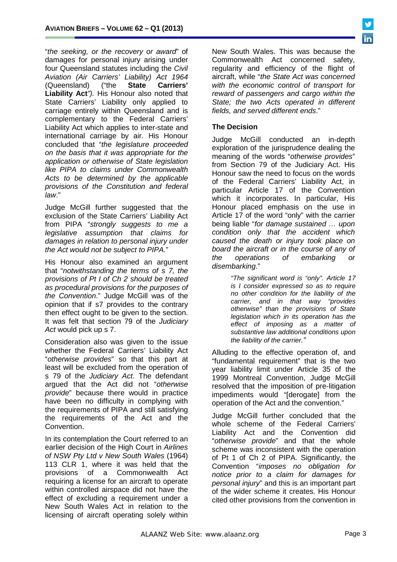"*the seeking, or the recovery or award*" of damages for personal injury arising under four Queensland statutes including the *Civil Aviation (Air Carriers' Liability) Act 1964* (Queensland) **Liability Act***").* His Honour also noted that State Carriers' Liability only applied to carriage entirely within Queensland and is complementary to the Federal Carriers' Liability Act which applies to inter-state and international carriage by air. His Honour concluded that "*the legislature proceeded on the basis that it was appropriate for the application or otherwise of State legislation like PIPA to claims under Commonwealth Acts to be determined by the applicable provisions of the Constitution and federal law*."

Judge McGill further suggested that the exclusion of the State Carriers' Liability Act from PIPA "*strongly suggests to me a legislative assumption that claims for damages in relation to personal injury under the Act would not be subject to PIPA*."

His Honour also examined an argument that "*notwithstanding the terms of s 7, the provisions of Pt I of Ch 2 should be treated as procedural provisions for the purposes of the Convention*." Judge McGill was of the opinion that if s7 provides to the contrary then effect ought to be given to the section. It was felt that section 79 of the *Judiciary Act* would pick up s 7.

Consideration also was given to the issue whether the Federal Carriers' Liability Act "*otherwise provides*" so that this part at least will be excluded from the operation of s 79 of the *Judiciary Act*. The defendant argued that the Act did not "*otherwise provide*" because there would in practice have been no difficulty in complying with the requirements of PIPA and still satisfying the requirements of the Act and the Convention.

In its contemplation the Court referred to an earlier decision of the High Court in *Airlines of NSW Pty Ltd v New South Wales* (1964) 113 CLR 1, where it was held that the provisions of a Commonwealth Act requiring a license for an aircraft to operate within controlled airspace did not have the effect of excluding a requirement under a New South Wales Act in relation to the licensing of aircraft operating solely within

New South Wales. This was because the Commonwealth Act concerned safety, regularity and efficiency of the flight of aircraft, while "*the State Act was concerned with the economic control of transport for reward of passengers and cargo within the State; the two Acts operated in different fields, and served different ends*."

### **The Decision**

Judge McGill conducted an in-depth exploration of the jurisprudence dealing the meaning of the words "*otherwise provides*" from Section 79 of the Judiciary Act. His Honour saw the need to focus on the words of the Federal Carriers' Liability Act, in particular Article 17 of the Convention which it incorporates. In particular, His Honour placed emphasis on the use in Article 17 of the word "only" with the carrier being liable "*for damage sustained … upon condition only that the accident which caused the death or injury took place on board the aircraft or in the course of any of the operations of embarking or disembarking*."

> *"The significant word is "only". Article 17 is I consider expressed so as to require no other condition for the liability of the carrier, and in that way "provides otherwise" than the provisions of State legislation which in its operation has the effect of imposing as a matter of substantive law additional conditions upon the liability of the carrier."*

Alluding to the effective operation of, and "fundamental requirement" that is the two year liability limit under Article 35 of the 1999 Montreal Convention, Judge McGill resolved that the imposition of pre-litigation impediments would "[derogate] from the operation of the Act and the convention."

Judge McGill further concluded that the whole scheme of the Federal Carriers' Liability Act and the Convention did "*otherwise provide*" and that the whole scheme was inconsistent with the operation of Pt 1 of Ch 2 of PIPA. Significantly, the Convention "*imposes no obligation for notice prior to a claim for damages for personal injury*" and this is an important part of the wider scheme it creates. His Honour cited other provisions from the convention in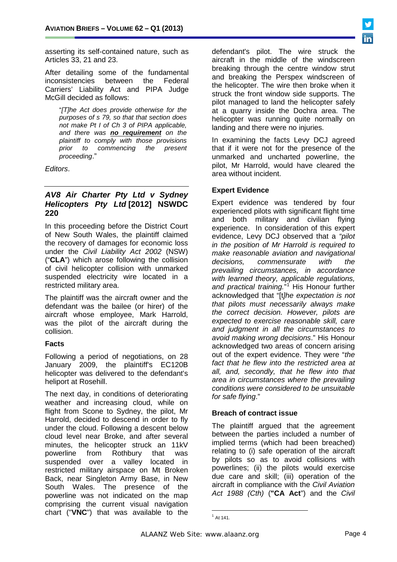asserting its self-contained nature, such as Articles 33, 21 and 23.

After detailing some of the fundamental inconsistencies between the Federal Carriers' Liability Act and PIPA Judge McGill decided as follows:

"*[T]he Act does provide otherwise for the purposes of s 79, so that that section does not make Pt I of Ch 3 of PIPA applicable, and there was no requirement on the plaintiff to comply with those provisions prior to commencing the present proceeding*."

*Editors*.

# *AV8 Air Charter Pty Ltd v Sydney Helicopters Pty Ltd* **[2012] NSWDC 220**

In this proceeding before the District Court of New South Wales, the plaintiff claimed the recovery of damages for economic loss under the *Civil Liability Act 2002* (NSW) ("**CLA**") which arose following the collision of civil helicopter collision with unmarked suspended electricity wire located in a restricted military area.

The plaintiff was the aircraft owner and the defendant was the bailee (or hirer) of the aircraft whose employee, Mark Harrold, was the pilot of the aircraft during the collision.

#### **Facts**

Following a period of negotiations, on 28 January 2009, the plaintiff's EC120B helicopter was delivered to the defendant's heliport at Rosehill.

<span id="page-3-0"></span>The next day, in conditions of deteriorating weather and increasing cloud, while on flight from Scone to Sydney, the pilot, Mr Harrold, decided to descend in order to fly under the cloud. Following a descent below cloud level near Broke, and after several minutes, the helicopter struck an 11kV powerline from Rothbury that was suspended over a valley located in restricted military airspace on Mt Broken Back, near Singleton Army Base, in New South Wales. The presence of the powerline was not indicated on the map comprising the current visual navigation chart ("**VNC**") that was available to the

defendant's pilot. The wire struck the aircraft in the middle of the windscreen breaking through the centre window strut and breaking the Perspex windscreen of the helicopter. The wire then broke when it struck the front window side supports. The pilot managed to land the helicopter safely at a quarry inside the Dochra area. The helicopter was running quite normally on landing and there were no injuries.

In examining the facts Levy DCJ agreed that if it were not for the presence of the unmarked and uncharted powerline, the pilot, Mr Harrold, would have cleared the area without incident.

### **Expert Evidence**

Expert evidence was tendered by four experienced pilots with significant flight time and both military and civilian flying experience. In consideration of this expert evidence, Levy DCJ observed that a *"pilot in the position of Mr Harrold is required to make reasonable aviation and navigational decisions, commensurate with the prevailing circumstances, in accordance with learned theory, applicable regulations,*  and practical training."<sup>[1](#page-42-0)</sup> His Honour further acknowledged that "[t*]he expectation is not that pilots must necessarily always make the correct decision. However, pilots are expected to exercise reasonable skill, care and judgment in all the circumstances to avoid making wrong decisions*." His Honour acknowledged two areas of concern arising out of the expert evidence. They were "*the fact that he flew into the restricted area at all, and, secondly, that he flew into that area in circumstances where the prevailing conditions were considered to be unsuitable for safe flying*."

#### **Breach of contract issue**

The plaintiff argued that the agreement between the parties included a number of implied terms (which had been breached) relating to (i) safe operation of the aircraft by pilots so as to avoid collisions with powerlines; (ii) the pilots would exercise due care and skill; (iii) operation of the aircraft in compliance with the *Civil Aviation Act 1988 (Cth)* (**"CA Act**") and the *Civil* 

 $1^1$  At 141.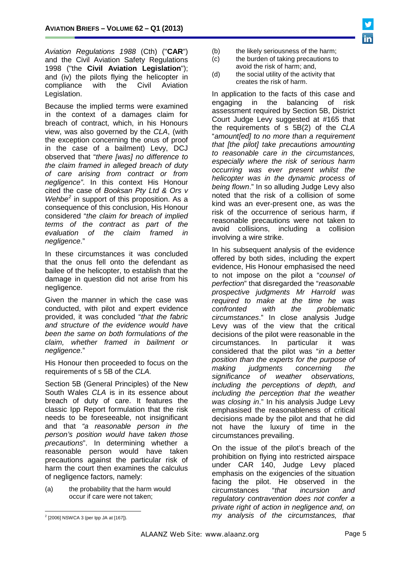

*Aviation Regulations 1988* (Cth) ("**CAR**") and the Civil Aviation Safety Regulations 1998 ("the **Civil Aviation Legislation**"); and (iv) the pilots flying the helicopter in compliance with the Civil Aviation compliance Legislation.

Because the implied terms were examined in the context of a damages claim for breach of contract, which, in his Honours view, was also governed by the *CLA*, (with the exception concerning the onus of proof in the case of a bailment) Levy, DCJ observed that "*there [was] no difference to the claim framed in alleged breach of duty of care arising from contract or from negligence"*. In this context His Honour cited the case of *Booksan Pty Ltd & Ors v Wehbe[2](#page-3-0)* in support of this proposition. As a consequence of this conclusion, His Honour considered "*the claim for breach of implied terms of the contract as part of the evaluation of the claim framed in negligence*."

In these circumstances it was concluded that the onus fell onto the defendant as bailee of the helicopter, to establish that the damage in question did not arise from his negligence.

Given the manner in which the case was conducted, with pilot and expert evidence provided, it was concluded "*that the fabric and structure of the evidence would have been the same on both formulations of the claim, whether framed in bailment or negligence*."

His Honour then proceeded to focus on the requirements of s 5B of the *CLA.*

Section 5B (General Principles) of the New South Wales *CLA* is in its essence about breach of duty of care. It features the classic Ipp Report formulation that the risk needs to be foreseeable, not insignificant and that *"a reasonable person in the person's position would have taken those precautions*". In determining whether a reasonable person would have taken precautions against the particular risk of harm the court then examines the calculus of negligence factors, namely:

(a) the probability that the harm would occur if care were not taken;

- (b) the likely seriousness of the harm;<br>(c) the burden of taking precautions to
- the burden of taking precautions to avoid the risk of harm; and,
- (d) the social utility of the activity that creates the risk of harm.

In application to the facts of this case and engaging in the balancing of risk assessment required by Section 5B, District Court Judge Levy suggested at #165 that the requirements of s 5B(2) of the *CLA* "*amount[ed] to no more than a requirement that [the pilot] take precautions amounting to reasonable care in the circumstances, especially where the risk of serious harm occurring was ever present whilst the helicopter was in the dynamic process of being flown*." In so alluding Judge Levy also noted that the risk of a collision of some kind was an ever-present one, as was the risk of the occurrence of serious harm, if reasonable precautions were not taken to avoid collisions, including a collision involving a wire strike.

In his subsequent analysis of the evidence offered by both sides, including the expert evidence, His Honour emphasised the need to not impose on the pilot a "*counsel of perfection*" that disregarded the "*reasonable prospective judgments Mr Harrold was required to make at the time he was confronted with the problematic circumstances*." In close analysis Judge Levy was of the view that the critical decisions of the pilot were reasonable in the circumstances. In particular it was considered that the pilot was "*in a better position than the experts for the purpose of making judgments concerning the significance of weather observations, including the perceptions of depth, and including the perception that the weather was closing in*." In his analysis Judge Levy emphasised the reasonableness of critical decisions made by the pilot and that he did not have the luxury of time in the circumstances prevailing.

On the issue of the pilot's breach of the prohibition on flying into restricted airspace under CAR 140, Judge Levy placed emphasis on the exigencies of the situation facing the pilot. He observed in the circumstances "that *incursion and* circumstances "*that incursion and regulatory contravention does not confer a private right of action in negligence and, on my analysis of the circumstances, that* 

<span id="page-4-0"></span> $2$  [2006] NSWCA 3 (per lpp JA at [167]).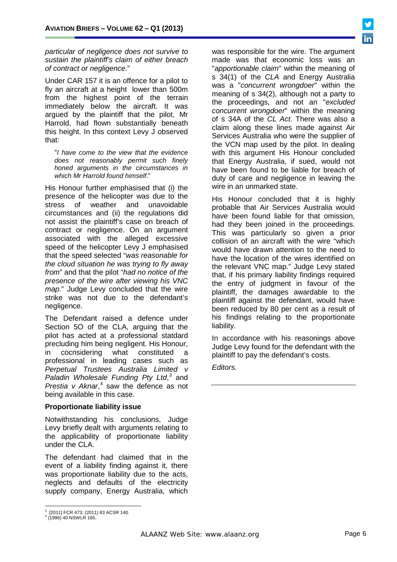*particular of negligence does not survive to sustain the plaintiff's claim of either breach of contract or negligence*."

Under CAR 157 it is an offence for a pilot to fly an aircraft at a height lower than 500m from the highest point of the terrain immediately below the aircraft. It was argued by the plaintiff that the pilot, Mr Harrold, had flown substantially beneath this height. In this context Levy J observed that:

"*I have come to the view that the evidence does not reasonably permit such finely honed arguments in the circumstances in which Mr Harrold found himself*."

His Honour further emphasised that (i) the presence of the helicopter was due to the stress of weather and unavoidable circumstances and (ii) the regulations did not assist the plaintiff's case on breach of contract or negligence. On an argument associated with the alleged excessive speed of the helicopter Levy J emphasised that the speed selected "*was reasonable for the cloud situation he was trying to fly away from*" and that the pilot "*had no notice of the presence of the wire after viewing his VNC map*." Judge Levy concluded that the wire strike was not due to the defendant's negligence.

The Defendant raised a defence under Section 5O of the CLA, arguing that the pilot has acted at a professional statdard precluding him being negligent. His Honour, in cocnsidering what constituted a professional in leading cases such as *Perpetual Trustees Australia Limited v Paladin Wholesale Funding Pty Ltd*, [3](#page-4-0) and *Prestia v Aknar*, [4](#page-5-0) saw the defence as not being available in this case.

#### **Proportionate liability issue**

Notwithstanding his conclusions, Judge Levy briefly dealt with arguments relating to the applicability of proportionate liability under the CLA.

The defendant had claimed that in the event of a liability finding against it, there was proportionate liability due to the acts, neglects and defaults of the electricity supply company, Energy Australia, which

was responsible for the wire. The argument made was that economic loss was an "*apportionable claim*" within the meaning of s 34(1) of the *CLA* and Energy Australia was a "*concurrent wrongdoer*" within the meaning of s 34(2), although not a party to the proceedings, and not an "*excluded concurrent wrongdoer*" within the meaning of s 34A of the *CL Act*. There was also a claim along these lines made against Air Services Australia who were the supplier of the VCN map used by the pilot. In dealing with this argument His Honour concluded that Energy Australia, if sued, would not have been found to be liable for breach of duty of care and negligence in leaving the wire in an unmarked state.

His Honour concluded that it is highly probable that Air Services Australia would have been found liable for that omission, had they been joined in the proceedings. This was particularly so given a prior collision of an aircraft with the wire "which would have drawn attention to the need to have the location of the wires identified on the relevant VNC map." Judge Levy stated that, if his primary liability findings required the entry of judgment in favour of the plaintiff, the damages awardable to the plaintiff against the defendant, would have been reduced by 80 per cent as a result of his findings relating to the proportionate liability.

In accordance with his reasonings above Judge Levy found for the defendant with the plaintiff to pay the defendant's costs.

*Editors.*

 $3$  [2011] FCR 473; (2011) 83 ACSR 140.<br> $4$  (1996) 40 NSWLR 165.

<span id="page-5-1"></span><span id="page-5-0"></span>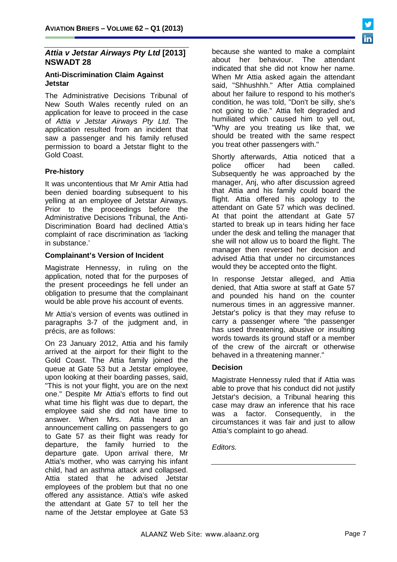# *Attia v Jetstar Airways Pty Ltd* **[2013] NSWADT 28**

#### **Anti-Discrimination Claim Against Jetstar**

The Administrative Decisions Tribunal of New South Wales recently ruled on an application for leave to proceed in the case of *Attia v Jetstar Airways Pty Ltd*. The application resulted from an incident that saw a passenger and his family refused permission to board a Jetstar flight to the Gold Coast.

### **Pre-history**

It was uncontentious that Mr Amir Attia had been denied boarding subsequent to his yelling at an employee of Jetstar Airways. Prior to the proceedings before the Administrative Decisions Tribunal, the Anti-Discrimination Board had declined Attia's complaint of race discrimination as 'lacking in substance.'

#### **Complainant's Version of Incident**

Magistrate Hennessy, in ruling on the application, noted that for the purposes of the present proceedings he fell under an obligation to presume that the complainant would be able prove his account of events.

Mr Attia's version of events was outlined in paragraphs 3-7 of the judgment and, in précis, are as follows:

On 23 January 2012, Attia and his family arrived at the airport for their flight to the Gold Coast. The Attia family joined the queue at Gate 53 but a Jetstar employee, upon looking at their boarding passes, said, "This is not your flight, you are on the next one." Despite Mr Attia's efforts to find out what time his flight was due to depart, the employee said she did not have time to answer. When Mrs. Attia heard an announcement calling on passengers to go to Gate 57 as their flight was ready for departure, the family hurried to the departure gate. Upon arrival there, Mr Attia's mother, who was carrying his infant child, had an asthma attack and collapsed. Attia stated that he advised Jetstar employees of the problem but that no one offered any assistance. Attia's wife asked the attendant at Gate 57 to tell her the name of the Jetstar employee at Gate 53

because she wanted to make a complaint about her behaviour. The attendant indicated that she did not know her name. When Mr Attia asked again the attendant said, "Shhushhh." After Attia complained about her failure to respond to his mother's condition, he was told, "Don't be silly, she's not going to die." Attia felt degraded and humiliated which caused him to yell out, "Why are you treating us like that, we should be treated with the same respect you treat other passengers with."

Shortly afterwards, Attia noticed that a<br>police officer had been called. police Subsequently he was approached by the manager, Anj, who after discussion agreed that Attia and his family could board the flight. Attia offered his apology to the attendant on Gate 57 which was declined. At that point the attendant at Gate 57 started to break up in tears hiding her face under the desk and telling the manager that she will not allow us to board the flight. The manager then reversed her decision and advised Attia that under no circumstances would they be accepted onto the flight.

In response Jetstar alleged, and Attia denied, that Attia swore at staff at Gate 57 and pounded his hand on the counter numerous times in an aggressive manner. Jetstar's policy is that they may refuse to carry a passenger where "the passenger has used threatening, abusive or insulting words towards its ground staff or a member of the crew of the aircraft or otherwise behaved in a threatening manner."

#### **Decision**

Magistrate Hennessy ruled that if Attia was able to prove that his conduct did not justify Jetstar's decision, a Tribunal hearing this case may draw an inference that his race was a factor. Consequently, in the circumstances it was fair and just to allow Attia's complaint to go ahead.

*Editors.*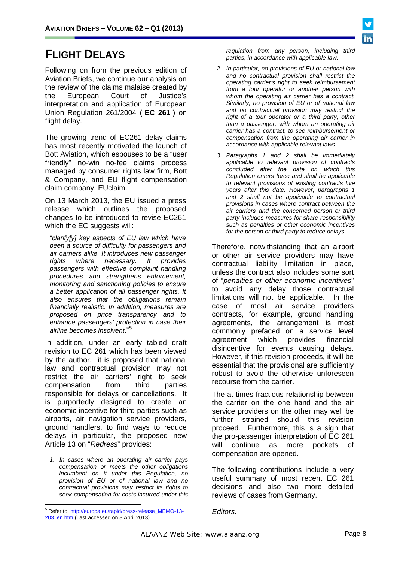

# **FLIGHT DELAYS**

Following on from the previous edition of Aviation Briefs, we continue our analysis on the review of the claims malaise created by<br>the European Court of Justice's the European Court of Justice's interpretation and application of European Union Regulation 261/2004 ("**EC 261**") on flight delay.

The growing trend of EC261 delay claims has most recently motivated the launch of Bott Aviation, which espouses to be a "user friendly" no-win no-fee claims process managed by consumer rights law firm, Bott & Company, and EU flight compensation claim company, EUclaim.

On 13 March 2013, the EU issued a press release which outlines the proposed changes to be introduced to revise EC261 which the EC suggests will:

"*clarify[y] key aspects of EU law which have been a source of difficulty for passengers and air carriers alike. It introduces new passenger rights where necessary. It provides passengers with effective complaint handling procedures and strengthens enforcement, monitoring and sanctioning policies to ensure a better application of all passenger rights. It also ensures that the obligations remain financially realistic. In addition, measures are proposed on price transparency and to enhance passengers' protection in case their airline becomes insolvent*." [5](#page-5-1)

In addition, under an early tabled draft revision to EC 261 which has been viewed by the author, it is proposed that national law and contractual provision may not restrict the air carriers' right to seek compensation from third parties responsible for delays or cancellations. It is purportedly designed to create an economic incentive for third parties such as airports, air navigation service providers, ground handlers, to find ways to reduce delays in particular, the proposed new Article 13 on "*Redress*" provides:

*1. In cases where an operating air carrier pays compensation or meets the other obligations incumbent on it under this Regulation, no provision of EU or of national law and no contractual provisions may restrict its rights to seek compensation for costs incurred under this* 

*regulation from any person, including third parties, in accordance with applicable law.*

- *2. In particular, no provisions of EU or national law and no contractual provision shall restrict the operating carrier's right to seek reimbursement from a tour operator or another person with whom the operating air carrier has a contract. Similarly, no provision of EU or of national law and no contractual provision may restrict the right of a tour operator or a third party, other than a passenger, with whom an operating air carrier has a contract, to see reimbursement or compensation from the operating air carrier in accordance with applicable relevant laws.*
- *3. Paragraphs 1 and 2 shall be immediately applicable to relevant provision of contracts concluded after the date on which this Regulation enters force and shall be applicable to relevant provisions of existing contracts five years after this date. However, paragraphs 1 and 2 shall not be applicable to contractual provisions in cases where contract between the air carriers and the concerned person or third party includes measures for share responsibility such as penalties or other economic incentives for the person or third party to reduce delays.*

Therefore, notwithstanding that an airport or other air service providers may have contractual liability limitation in place, unless the contract also includes some sort of "*penalties or other economic incentives*" to avoid any delay those contractual limitations will not be applicable. In the case of most air service providers contracts, for example, ground handling agreements, the arrangement is most commonly prefaced on a service level<br>agreement which provides financial agreement which provides financial disincentive for events causing delays. However, if this revision proceeds, it will be essential that the provisional are sufficiently robust to avoid the otherwise unforeseen recourse from the carrier.

The at times fractious relationship between the carrier on the one hand and the air service providers on the other may well be further strained should this revision proceed. Furthermore, this is a sign that the pro-passenger interpretation of EC 261 will continue as more pockets of compensation are opened.

The following contributions include a very useful summary of most recent EC 261 decisions and also two more detailed reviews of cases from Germany.

*Editors.*

<span id="page-7-0"></span><sup>&</sup>lt;sup>5</sup> Refer to[: http://europa.eu/rapid/press-release\\_MEMO-13-](http://europa.eu/rapid/press-release_MEMO-13-203_en.htm) [203\\_en.htm](http://europa.eu/rapid/press-release_MEMO-13-203_en.htm) (Last accessed on 8 April 2013).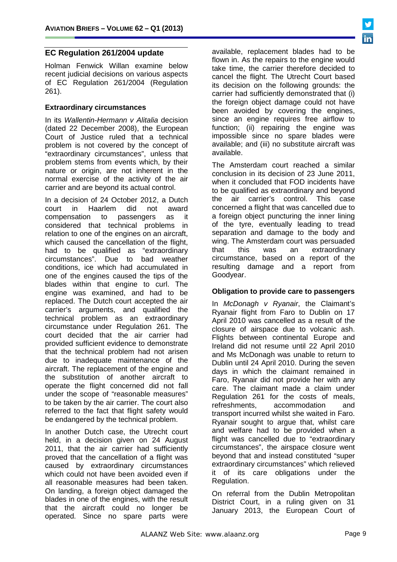# **EC Regulation 261/2004 update**

Holman Fenwick Willan examine below recent judicial decisions on various aspects of EC Regulation 261/2004 (Regulation 261).

#### **Extraordinary circumstances**

In its *Wallentin-Hermann v Alitalia* decision (dated 22 December 2008), the European Court of Justice ruled that a technical problem is not covered by the concept of "extraordinary circumstances", unless that problem stems from events which, by their nature or origin, are not inherent in the normal exercise of the activity of the air carrier and are beyond its actual control.

In a decision of 24 October 2012, a Dutch<br>court in Haarlem did not award court in Haarlem did not compensation to passengers as it considered that technical problems in relation to one of the engines on an aircraft, which caused the cancellation of the flight, had to be qualified as "extraordinary<br>circumstances". Due to bad weather circumstances". Due to conditions, ice which had accumulated in one of the engines caused the tips of the blades within that engine to curl. The engine was examined, and had to be replaced. The Dutch court accepted the air carrier's arguments, and qualified the technical problem as an extraordinary circumstance under Regulation 261. The court decided that the air carrier had provided sufficient evidence to demonstrate that the technical problem had not arisen due to inadequate maintenance of the aircraft. The replacement of the engine and the substitution of another aircraft to operate the flight concerned did not fall under the scope of "reasonable measures" to be taken by the air carrier. The court also referred to the fact that flight safety would be endangered by the technical problem.

In another Dutch case, the Utrecht court held, in a decision given on 24 August 2011, that the air carrier had sufficiently proved that the cancellation of a flight was caused by extraordinary circumstances which could not have been avoided even if all reasonable measures had been taken. On landing, a foreign object damaged the blades in one of the engines, with the result that the aircraft could no longer be operated. Since no spare parts were

available, replacement blades had to be flown in. As the repairs to the engine would take time, the carrier therefore decided to cancel the flight. The Utrecht Court based its decision on the following grounds: the carrier had sufficiently demonstrated that (i) the foreign object damage could not have been avoided by covering the engines, since an engine requires free airflow to function; (ii) repairing the engine was impossible since no spare blades were available; and (iii) no substitute aircraft was available.

The Amsterdam court reached a similar conclusion in its decision of 23 June 2011, when it concluded that FOD incidents have to be qualified as extraordinary and beyond<br>the air carrier's control. This case the air carrier's control. This concerned a flight that was cancelled due to a foreign object puncturing the inner lining of the tyre, eventually leading to tread separation and damage to the body and wing. The Amsterdam court was persuaded that this was an extraordinary circumstance, based on a report of the resulting damage and a report from Goodyear.

#### **Obligation to provide care to passengers**

In *McDonagh v Ryanair*, the Claimant's Ryanair flight from Faro to Dublin on 17 April 2010 was cancelled as a result of the closure of airspace due to volcanic ash. Flights between continental Europe and Ireland did not resume until 22 April 2010 and Ms McDonagh was unable to return to Dublin until 24 April 2010. During the seven days in which the claimant remained in Faro, Ryanair did not provide her with any care. The claimant made a claim under Regulation 261 for the costs of meals, refreshments, accommodation and transport incurred whilst she waited in Faro. Ryanair sought to argue that, whilst care and welfare had to be provided when a flight was cancelled due to "extraordinary circumstances", the airspace closure went beyond that and instead constituted "super extraordinary circumstances" which relieved it of its care obligations under the Regulation.

On referral from the Dublin Metropolitan District Court, in a ruling given on 31 January 2013, the European Court of

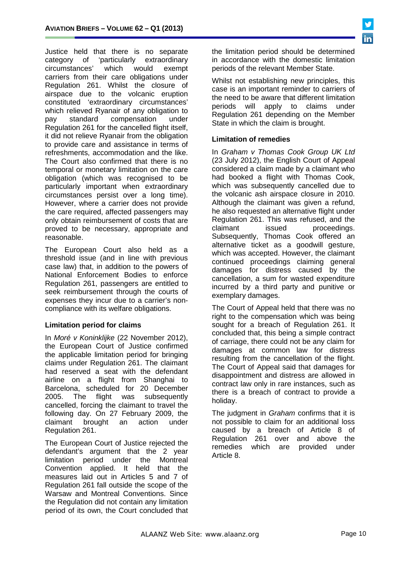Justice held that there is no separate<br>category of 'particularly extraordinary 'particularly extraordinary<br>which would exempt circumstances' which would carriers from their care obligations under Regulation 261. Whilst the closure of airspace due to the volcanic eruption constituted 'extraordinary circumstances' which relieved Ryanair of any obligation to pay standard compensation under Regulation 261 for the cancelled flight itself, it did not relieve Ryanair from the obligation to provide care and assistance in terms of refreshments, accommodation and the like. The Court also confirmed that there is no temporal or monetary limitation on the care obligation (which was recognised to be particularly important when extraordinary circumstances persist over a long time). However, where a carrier does not provide the care required, affected passengers may only obtain reimbursement of costs that are proved to be necessary, appropriate and reasonable.

The European Court also held as a threshold issue (and in line with previous case law) that, in addition to the powers of National Enforcement Bodies to enforce Regulation 261, passengers are entitled to seek reimbursement through the courts of expenses they incur due to a carrier's noncompliance with its welfare obligations.

#### **Limitation period for claims**

In *Moré v Koninklijke* (22 November 2012), the European Court of Justice confirmed the applicable limitation period for bringing claims under Regulation 261. The claimant had reserved a seat with the defendant airline on a flight from Shanghai to Barcelona, scheduled for 20 December 2005. The flight was subsequently cancelled, forcing the claimant to travel the following day. On 27 February 2009, the claimant brought an action under Regulation 261.

The European Court of Justice rejected the defendant's argument that the 2 year limitation period under the Montreal Convention applied. It held that the measures laid out in Articles 5 and 7 of Regulation 261 fall outside the scope of the Warsaw and Montreal Conventions. Since the Regulation did not contain any limitation period of its own, the Court concluded that

the limitation period should be determined in accordance with the domestic limitation periods of the relevant Member State.

Whilst not establishing new principles, this case is an important reminder to carriers of the need to be aware that different limitation<br>periods will apply to claims under apply to claims under Regulation 261 depending on the Member State in which the claim is brought.

# **Limitation of remedies**

In *Graham v Thomas Cook Group UK Ltd*  (23 July 2012), the English Court of Appeal considered a claim made by a claimant who had booked a flight with Thomas Cook, which was subsequently cancelled due to the volcanic ash airspace closure in 2010. Although the claimant was given a refund, he also requested an alternative flight under Regulation 261. This was refused, and the claimant issued proceedings. Subsequently, Thomas Cook offered an alternative ticket as a goodwill gesture, which was accepted. However, the claimant continued proceedings claiming general damages for distress caused by the cancellation, a sum for wasted expenditure incurred by a third party and punitive or exemplary damages.

The Court of Appeal held that there was no right to the compensation which was being sought for a breach of Regulation 261. It concluded that, this being a simple contract of carriage, there could not be any claim for damages at common law for distress resulting from the cancellation of the flight. The Court of Appeal said that damages for disappointment and distress are allowed in contract law only in rare instances, such as there is a breach of contract to provide a holiday.

The judgment in *Graham* confirms that it is not possible to claim for an additional loss caused by a breach of Article 8 of Regulation 261 over and above the remedies which are provided under Article 8.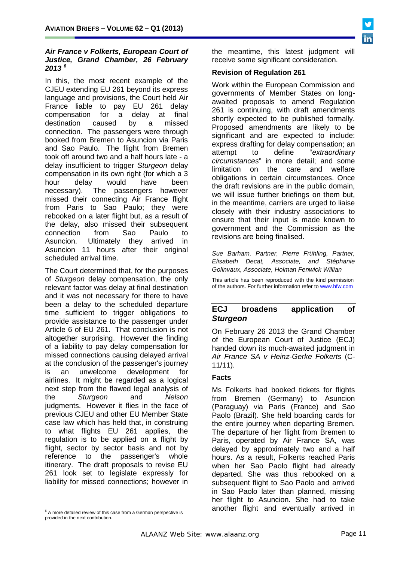### *Air France v Folkerts, European Court of Justice, Grand Chamber, 26 February 2013 [6](#page-7-0)*

In this, the most recent example of the CJEU extending EU 261 beyond its express language and provisions, the Court held Air France liable to pay EU 261 delay compensation for a delay at final destination caused by a missed connection. The passengers were through booked from Bremen to Asuncion via Paris and Sao Paulo. The flight from Bremen took off around two and a half hours late - a delay insufficient to trigger *Sturgeon* delay compensation in its own right (for which a 3 hour delay would have been necessary). The passengers however missed their connecting Air France flight from Paris to Sao Paulo; they were rebooked on a later flight but, as a result of the delay, also missed their subsequent connection from Sao Paulo to Asuncion. Ultimately they arrived in Asuncion 11 hours after their original scheduled arrival time.

The Court determined that, for the purposes of *Sturgeon* delay compensation, the only relevant factor was delay at final destination and it was not necessary for there to have been a delay to the scheduled departure time sufficient to trigger obligations to provide assistance to the passenger under Article 6 of EU 261. That conclusion is not altogether surprising. However the finding of a liability to pay delay compensation for missed connections causing delayed arrival at the conclusion of the passenger's journey is an unwelcome development for airlines. It might be regarded as a logical next step from the flawed legal analysis of the *Sturgeon* and *Nelson* judgments. However it flies in the face of previous CJEU and other EU Member State case law which has held that, in construing to what flights EU 261 applies, the regulation is to be applied on a flight by flight, sector by sector basis and not by reference to the passenger's whole itinerary. The draft proposals to revise EU 261 look set to legislate expressly for liability for missed connections; however in

<span id="page-10-0"></span> $6$  A more detailed review of this case from a German perspective is provided in the next contribution.

the meantime, this latest judgment will receive some significant consideration.

### **Revision of Regulation 261**

Work within the European Commission and governments of Member States on longawaited proposals to amend Regulation 261 is continuing, with draft amendments shortly expected to be published formally. Proposed amendments are likely to be significant and are expected to include: express drafting for delay compensation; an<br>attempt to define "extraordinarv attempt to define "*extraordinary circumstances*" in more detail; and some limitation on obligations in certain circumstances. Once the draft revisions are in the public domain, we will issue further briefings on them but, in the meantime, carriers are urged to liaise closely with their industry associations to ensure that their input is made known to government and the Commission as the revisions are being finalised.

*Sue Barham, Partner, Pierre Frühling, Partner, Elisabeth Decat, Associate, and Stéphanie Golinvaux, Associate, Holman Fenwick Willian*

This article has been reproduced with the kind permission of the authors. For further information refer t[o www.hfw.com](http://www.hfw.com/)

# **ECJ broadens application of**  *Sturgeon*

On February 26 2013 the Grand Chamber of the European Court of Justice (ECJ) handed down its much-awaited judgment in *Air France SA v Heinz-Gerke Folkerts* (C-11/11).

#### **Facts**

Ms Folkerts had booked tickets for flights from Bremen (Germany) to Asuncion (Paraguay) via Paris (France) and Sao Paolo (Brazil). She held boarding cards for the entire journey when departing Bremen. The departure of her flight from Bremen to Paris, operated by Air France SA, was delayed by approximately two and a half hours. As a result, Folkerts reached Paris when her Sao Paolo flight had already departed. She was thus rebooked on a subsequent flight to Sao Paolo and arrived in Sao Paolo later than planned, missing her flight to Asuncion. She had to take another flight and eventually arrived in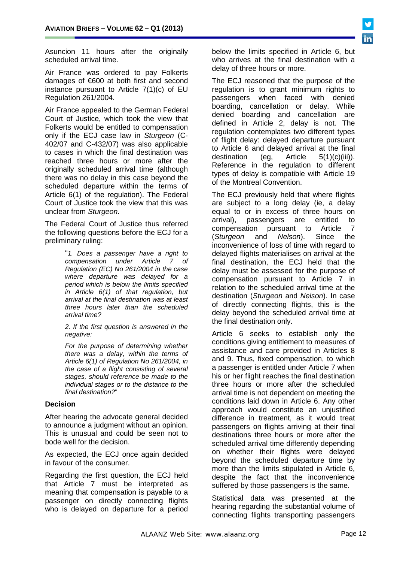Asuncion 11 hours after the originally scheduled arrival time.

Air France was ordered to pay Folkerts damages of €600 at both first and second instance pursuant to Article 7(1)(c) of EU Regulation 261/2004.

Air France appealed to the German Federal Court of Justice, which took the view that Folkerts would be entitled to compensation only if the ECJ case law in *Sturgeon* (C-402/07 and C-432/07) was also applicable to cases in which the final destination was reached three hours or more after the originally scheduled arrival time (although there was no delay in this case beyond the scheduled departure within the terms of Article 6(1) of the regulation). The Federal Court of Justice took the view that this was unclear from *Sturgeon*.

The Federal Court of Justice thus referred the following questions before the ECJ for a preliminary ruling:

> "*1. Does a passenger have a right to compensation under Article 7 of Regulation (EC) No 261/2004 in the case where departure was delayed for a period which is below the limits specified in Article 6(1) of that regulation, but arrival at the final destination was at least three hours later than the scheduled arrival time?*

*2. If the first question is answered in the negative:*

*For the purpose of determining whether there was a delay, within the terms of Article 6(1) of Regulation No 261/2004, in the case of a flight consisting of several stages, should reference be made to the individual stages or to the distance to the final destination?*"

#### **Decision**

After hearing the advocate general decided to announce a judgment without an opinion. This is unusual and could be seen not to bode well for the decision.

As expected, the ECJ once again decided in favour of the consumer.

Regarding the first question, the ECJ held that Article 7 must be interpreted as meaning that compensation is payable to a passenger on directly connecting flights who is delayed on departure for a period

below the limits specified in Article 6, but who arrives at the final destination with a delay of three hours or more.

The ECJ reasoned that the purpose of the regulation is to grant minimum rights to passengers when faced with denied boarding, cancellation or delay. While denied boarding and cancellation are defined in Article 2, delay is not. The regulation contemplates two different types of flight delay: delayed departure pursuant to Article 6 and delayed arrival at the final destination (eq. Article  $5(1)(c)(iii)$ ). destination (eg, Article 5(1)(c)(iii)). Reference in the regulation to different types of delay is compatible with Article 19 of the Montreal Convention.

The ECJ previously held that where flights are subject to a long delay (ie, a delay equal to or in excess of three hours on arrival), passengers are entitled to compensation pursuant to Article 7<br>(Sturgeon and Nelson). Since the (*Sturgeon* and *Nelson*). Since the inconvenience of loss of time with regard to delayed flights materialises on arrival at the final destination, the ECJ held that the delay must be assessed for the purpose of compensation pursuant to Article 7 in relation to the scheduled arrival time at the destination (*Sturgeon* and *Nelson*). In case of directly connecting flights, this is the delay beyond the scheduled arrival time at the final destination only.

Article 6 seeks to establish only the conditions giving entitlement to measures of assistance and care provided in Articles 8 and 9. Thus, fixed compensation, to which a passenger is entitled under Article 7 when his or her flight reaches the final destination three hours or more after the scheduled arrival time is not dependent on meeting the conditions laid down in Article 6. Any other approach would constitute an unjustified difference in treatment, as it would treat passengers on flights arriving at their final destinations three hours or more after the scheduled arrival time differently depending on whether their flights were delayed beyond the scheduled departure time by more than the limits stipulated in Article 6, despite the fact that the inconvenience suffered by those passengers is the same.

Statistical data was presented at the hearing regarding the substantial volume of connecting flights transporting passengers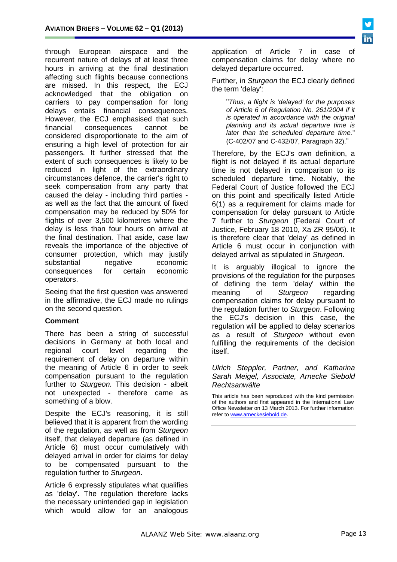through European airspace and the recurrent nature of delays of at least three hours in arriving at the final destination affecting such flights because connections are missed. In this respect, the ECJ acknowledged that the obligation on carriers to pay compensation for long delays entails financial consequences. However, the ECJ emphasised that such financial consequences cannot be considered disproportionate to the aim of ensuring a high level of protection for air passengers. It further stressed that the extent of such consequences is likely to be reduced in light of the extraordinary circumstances defence, the carrier's right to seek compensation from any party that caused the delay - including third parties as well as the fact that the amount of fixed compensation may be reduced by 50% for flights of over 3,500 kilometres where the delay is less than four hours on arrival at the final destination. That aside, case law reveals the importance of the objective of consumer protection, which may justify substantial negative economic consequences for certain economic operators.

Seeing that the first question was answered in the affirmative, the ECJ made no rulings on the second question.

#### **Comment**

There has been a string of successful decisions in Germany at both local and regional court level regarding the requirement of delay on departure within the meaning of Article 6 in order to seek compensation pursuant to the regulation further to *Sturgeon*. This decision - albeit not unexpected - therefore came as something of a blow.

Despite the ECJ's reasoning, it is still believed that it is apparent from the wording of the regulation, as well as from *Sturgeon* itself, that delayed departure (as defined in Article 6) must occur cumulatively with delayed arrival in order for claims for delay to be compensated pursuant to the regulation further to *Sturgeon*.

Article 6 expressly stipulates what qualifies as 'delay'. The regulation therefore lacks the necessary unintended gap in legislation which would allow for an analogous

application of Article 7 in case of compensation claims for delay where no delayed departure occurred.

Further, in *Sturgeon* the ECJ clearly defined the term 'delay':

"*Thus, a flight is 'delayed' for the purposes of Article 6 of Regulation No. 261/2004 if it is operated in accordance with the original planning and its actual departure time is later than the scheduled departure time.*" (C-402/07 and C-432/07, Paragraph 32)."

Therefore, by the ECJ's own definition, a flight is not delayed if its actual departure time is not delayed in comparison to its scheduled departure time. Notably, the Federal Court of Justice followed the ECJ on this point and specifically listed Article 6(1) as a requirement for claims made for compensation for delay pursuant to Article 7 further to *Sturgeon* (Federal Court of Justice, February 18 2010, Xa ZR 95/06). It is therefore clear that 'delay' as defined in Article 6 must occur in conjunction with delayed arrival as stipulated in *Sturgeon*.

It is arguably illogical to ignore the provisions of the regulation for the purposes of defining the term 'delay' within the meaning of *Sturgeon* regarding compensation claims for delay pursuant to the regulation further to *Sturgeon*. Following the ECJ's decision in this case, the regulation will be applied to delay scenarios as a result of *Sturgeon* without even fulfilling the requirements of the decision itself.

#### *[Ulrich Steppler,](http://www.internationallawoffice.com/Directory/biography.aspx?g=fc832671-4eff-47ce-80dc-31f24f94f7dd) Partner, and [Katharina](http://www.internationallawoffice.com/directory/Biography.aspx?g=64165670-0c9e-4e70-be58-6a6e00c0e9ac)  [Sarah Meigel,](http://www.internationallawoffice.com/directory/Biography.aspx?g=64165670-0c9e-4e70-be58-6a6e00c0e9ac) Associate, Arnecke Siebold Rechtsanwälte*

This article has been reproduced with the kind permission of the authors and first appeared in the International Law Office Newsletter on 13 March 2013. For further information refer t[o www.arneckesiebold.de.](http://www.arneckesiebold.de/)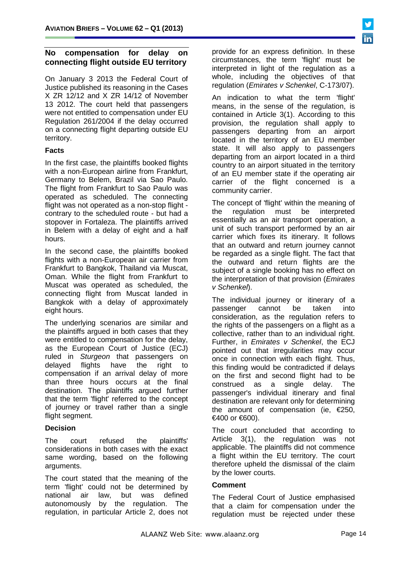# **No compensation for delay on connecting flight outside EU territory**

On January 3 2013 the Federal Court of Justice published its reasoning in the Cases X ZR 12/12 and X ZR 14/12 of November 13 2012. The court held that passengers were not entitled to compensation under EU Regulation 261/2004 if the delay occurred on a connecting flight departing outside EU territory.

### **Facts**

In the first case, the plaintiffs booked flights with a non-European airline from Frankfurt, Germany to Belem, Brazil via Sao Paulo. The flight from Frankfurt to Sao Paulo was operated as scheduled. The connecting flight was not operated as a non-stop flight contrary to the scheduled route - but had a stopover in Fortaleza. The plaintiffs arrived in Belem with a delay of eight and a half hours.

In the second case, the plaintiffs booked flights with a non-European air carrier from Frankfurt to Bangkok, Thailand via Muscat, Oman. While the flight from Frankfurt to Muscat was operated as scheduled, the connecting flight from Muscat landed in Bangkok with a delay of approximately eight hours.

The underlying scenarios are similar and the plaintiffs argued in both cases that they were entitled to compensation for the delay, as the European Court of Justice (ECJ) ruled in *Sturgeon* that passengers on delayed flights have the right to compensation if an arrival delay of more than three hours occurs at the final destination. The plaintiffs argued further that the term 'flight' referred to the concept of journey or travel rather than a single flight segment.

# **Decision**

The court refused the plaintiffs' considerations in both cases with the exact same wording, based on the following arguments.

The court stated that the meaning of the term 'flight' could not be determined by national air law, but was defined autonomously by the regulation. The regulation, in particular Article 2, does not provide for an express definition. In these circumstances, the term 'flight' must be interpreted in light of the regulation as a whole, including the objectives of that regulation (*Emirates v Schenkel*, C-173/07).

An indication to what the term 'flight' means, in the sense of the regulation, is contained in Article 3(1). According to this provision, the regulation shall apply to passengers departing from an airport located in the territory of an EU member state. It will also apply to passengers departing from an airport located in a third country to an airport situated in the territory of an EU member state if the operating air carrier of the flight concerned is a community carrier.

The concept of 'flight' within the meaning of the regulation must be interpreted essentially as an air transport operation, a unit of such transport performed by an air carrier which fixes its itinerary. It follows that an outward and return journey cannot be regarded as a single flight. The fact that the outward and return flights are the subject of a single booking has no effect on the interpretation of that provision (*Emirates v Schenkel*).

The individual journey or itinerary of a passenger cannot be taken into consideration, as the regulation refers to the rights of the passengers on a flight as a collective, rather than to an individual right. Further, in *Emirates v Schenkel*, the ECJ pointed out that irregularities may occur once in connection with each flight. Thus, this finding would be contradicted if delays on the first and second flight had to be construed as a single delay. The passenger's individual itinerary and final destination are relevant only for determining the amount of compensation (ie,  $\epsilon$ 250,  $€400$  or  $€600$ ).

The court concluded that according to Article 3(1), the regulation was not applicable. The plaintiffs did not commence a flight within the EU territory. The court therefore upheld the dismissal of the claim by the lower courts.

# **Comment**

The Federal Court of Justice emphasised that a claim for compensation under the regulation must be rejected under these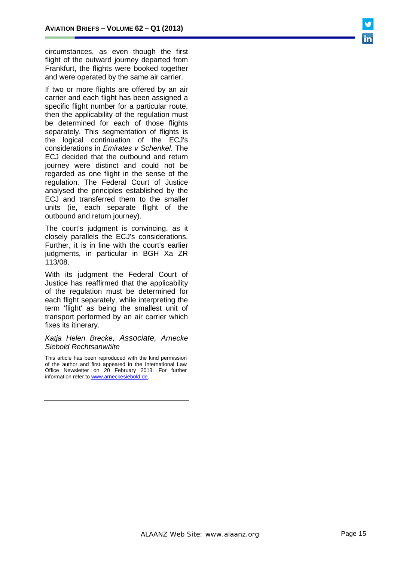circumstances, as even though the first flight of the outward journey departed from Frankfurt, the flights were booked together and were operated by the same air carrier.

If two or more flights are offered by an air carrier and each flight has been assigned a specific flight number for a particular route, then the applicability of the regulation must be determined for each of those flights separately. This segmentation of flights is the logical continuation of the ECJ's considerations in *Emirates v Schenkel*. The ECJ decided that the outbound and return journey were distinct and could not be regarded as one flight in the sense of the regulation. The Federal Court of Justice analysed the principles established by the ECJ and transferred them to the smaller units (ie, each separate flight of the outbound and return journey).

The court's judgment is convincing, as it closely parallels the ECJ's considerations. Further, it is in line with the court's earlier judgments, in particular in BGH Xa ZR 113/08.

With its judgment the Federal Court of Justice has reaffirmed that the applicability of the regulation must be determined for each flight separately, while interpreting the term 'flight' as being the smallest unit of transport performed by an air carrier which fixes its itinerary.

#### *[Katja Helen Brecke,](http://www.internationallawoffice.com/Directory/biography.aspx?g=f4a69935-54d2-4ef5-a343-6b0ad6ecebf2) Associate, Arnecke Siebold Rechtsanwälte*

This article has been reproduced with the kind permission of the author and first appeared in the International Law Office Newsletter on 20 February 2013. For further information refer to [www.arneckesiebold.de.](http://www.arneckesiebold.de/)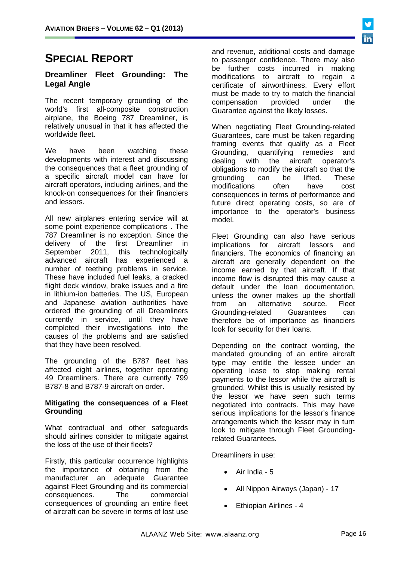# **SPECIAL REPORT**

### **Dreamliner Fleet Grounding: The Legal Angle**

The recent temporary grounding of the world's first all-composite construction airplane, the Boeing 787 Dreamliner, is relatively unusual in that it has affected the worldwide fleet.

We have been watching these developments with interest and discussing the consequences that a fleet grounding of a specific aircraft model can have for aircraft operators, including airlines, and the knock-on consequences for their financiers and lessors.

All new airplanes entering service will at some point experience complications . The 787 Dreamliner is no exception. Since the delivery of the first Dreamliner in<br>September 2011, this technologically September 2011, this advanced aircraft has experienced a number of teething problems in service. These have included fuel leaks, a cracked flight deck window, brake issues and a fire in lithium-ion batteries. The US, European and Japanese aviation authorities have ordered the grounding of all Dreamliners currently in service, until they have completed their investigations into the causes of the problems and are satisfied that they have been resolved.

The grounding of the B787 fleet has affected eight airlines, together operating 49 Dreamliners. There are currently 799 B787-8 and B787-9 aircraft on order.

#### **Mitigating the consequences of a Fleet Grounding**

What contractual and other safeguards should airlines consider to mitigate against the loss of the use of their fleets?

Firstly, this particular occurrence highlights the importance of obtaining from the manufacturer an adequate Guarantee against Fleet Grounding and its commercial consequences. The commercial consequences of grounding an entire fleet of aircraft can be severe in terms of lost use

and revenue, additional costs and damage to passenger confidence. There may also be further costs incurred in making modifications to aircraft to regain a certificate of airworthiness. Every effort must be made to try to match the financial<br>compensation provided under the compensation Guarantee against the likely losses.

When negotiating Fleet Grounding-related Guarantees, care must be taken regarding framing events that qualify as a Fleet<br>Grounding, quantifying remedies and Grounding, quantifying<br>dealing with the aire aircraft operator's obligations to modify the aircraft so that the grounding can be lifted. These<br>modifications often have cost modifications consequences in terms of performance and future direct operating costs, so are of importance to the operator's business model.

Fleet Grounding can also have serious<br>implications for aircraft lessors and aircraft lessors financiers. The economics of financing an aircraft are generally dependent on the income earned by that aircraft. If that income flow is disrupted this may cause a default under the loan documentation, unless the owner makes up the shortfall<br>from an alternative source. Fleet alternative source.<br>ated Guarantees Grounding-related Guarantees can therefore be of importance as financiers look for security for their loans.

Depending on the contract wording, the mandated grounding of an entire aircraft type may entitle the lessee under an operating lease to stop making rental payments to the lessor while the aircraft is grounded. Whilst this is usually resisted by the lessor we have seen such terms negotiated into contracts. This may have serious implications for the lessor's finance arrangements which the lessor may in turn look to mitigate through Fleet Groundingrelated Guarantees.

Dreamliners in use:

- Air India 5
- All Nippon Airways (Japan) 17
- Ethiopian Airlines 4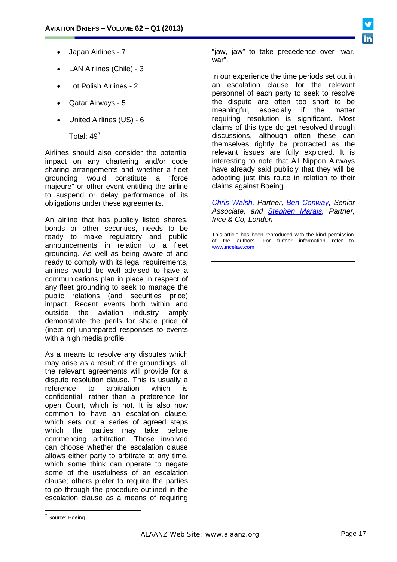

- Japan Airlines 7
- LAN Airlines (Chile) 3
- Lot Polish Airlines 2
- Qatar Airways 5
- United Airlines (US) 6

Total: 49[7](#page-10-0)

Airlines should also consider the potential impact on any chartering and/or code sharing arrangements and whether a fleet grounding would constitute a "force majeure" or other event entitling the airline to suspend or delay performance of its obligations under these agreements.

An airline that has publicly listed shares, bonds or other securities, needs to be ready to make regulatory and public announcements in relation to a fleet grounding. As well as being aware of and ready to comply with its legal requirements, airlines would be well advised to have a communications plan in place in respect of any fleet grounding to seek to manage the public relations (and securities price) impact. Recent events both within and outside the aviation industry amply demonstrate the perils for share price of (inept or) unprepared responses to events with a high media profile.

As a means to resolve any disputes which may arise as a result of the groundings, all the relevant agreements will provide for a dispute resolution clause. This is usually a reference to arbitration which is confidential, rather than a preference for open Court, which is not. It is also now common to have an escalation clause, which sets out a series of agreed steps which the parties may take before commencing arbitration. Those involved can choose whether the escalation clause allows either party to arbitrate at any time, which some think can operate to negate some of the usefulness of an escalation clause; others prefer to require the parties to go through the procedure outlined in the escalation clause as a means of requiring

"jaw, jaw" to take precedence over "war, war".

In our experience the time periods set out in an escalation clause for the relevant personnel of each party to seek to resolve the dispute are often too short to be meaningful. especially if the matter meaningful, especially if the matter requiring resolution is significant. Most claims of this type do get resolved through discussions, although often these can themselves rightly be protracted as the relevant issues are fully explored. It is interesting to note that All Nippon Airways have already said publicly that they will be adopting just this route in relation to their claims against Boeing.

*[Chris Walsh,](http://incelaw.com/ourpeople/chris-walsh) Partner, [Ben Conway,](http://incelaw.com/ourpeople/ben-conway) Senior Associate, and [Stephen Marais,](http://incelaw.com/ourpeople/stephen-marais) Partner, Ince & Co, London*

This article has been reproduced with the kind permission of the authors. For further information refer to [www.incelaw.com](http://www.incelaw.com/)

<span id="page-16-0"></span><sup>7</sup> Source: Boeing.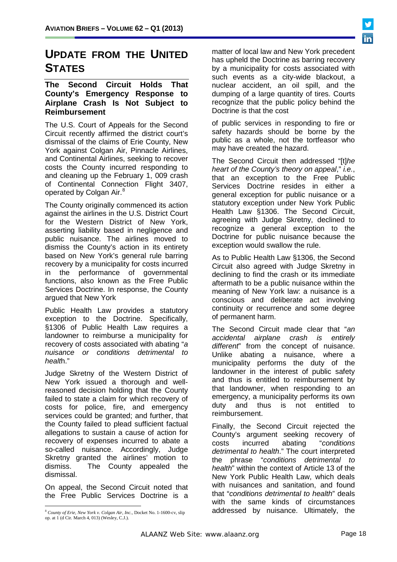# **UPDATE FROM THE UNITED STATES**

#### **The Second Circuit Holds That County's Emergency Response to Airplane Crash Is Not Subject to Reimbursement**

The U.S. Court of Appeals for the Second Circuit recently affirmed the district court's dismissal of the claims of Erie County, New York against Colgan Air, Pinnacle Airlines, and Continental Airlines, seeking to recover costs the County incurred responding to and cleaning up the February 1, 009 crash of Continental Connection Flight 3407, operated by Colgan Air.<sup>[8](#page-16-0)</sup>

The County originally commenced its action against the airlines in the U.S. District Court for the Western District of New York, asserting liability based in negligence and public nuisance. The airlines moved to dismiss the County's action in its entirety based on New York's general rule barring recovery by a municipality for costs incurred in the performance of governmental functions, also known as the Free Public Services Doctrine. In response, the County argued that New York

Public Health Law provides a statutory exception to the Doctrine. Specifically, §1306 of Public Health Law requires a landowner to reimburse a municipality for recovery of costs associated with abating "*a nuisance or conditions detrimental to healt*h."

Judge Skretny of the Western District of New York issued a thorough and wellreasoned decision holding that the County failed to state a claim for which recovery of costs for police, fire, and emergency services could be granted; and further, that the County failed to plead sufficient factual allegations to sustain a cause of action for recovery of expenses incurred to abate a so-called nuisance. Accordingly, Judge Skretny granted the airlines' motion to dismiss. The County appealed the dismissal.

On appeal, the Second Circuit noted that the Free Public Services Doctrine is a matter of local law and New York precedent has upheld the Doctrine as barring recovery by a municipality for costs associated with such events as a city-wide blackout, a nuclear accident, an oil spill, and the dumping of a large quantity of tires. Courts recognize that the public policy behind the Doctrine is that the cost

of public services in responding to fire or safety hazards should be borne by the public as a whole, not the tortfeasor who may have created the hazard.

The Second Circuit then addressed "[t]*he heart of the County's theory on appeal*," *i.e.*, that an exception to the Free Public Services Doctrine resides in either a general exception for public nuisance or a statutory exception under New York Public Health Law §1306. The Second Circuit, agreeing with Judge Skretny, declined to recognize a general exception to the Doctrine for public nuisance because the exception would swallow the rule.

As to Public Health Law §1306, the Second Circuit also agreed with Judge Skretny in declining to find the crash or its immediate aftermath to be a public nuisance within the meaning of New York law: a nuisance is a conscious and deliberate act involving continuity or recurrence and some degree of permanent harm.

The Second Circuit made clear that "*an accidental airplane crash is entirely different*" from the concept of nuisance. Unlike abating a nuisance, where a municipality performs the duty of the landowner in the interest of public safety and thus is entitled to reimbursement by that landowner, when responding to an emergency, a municipality performs its own duty and thus is not entitled to reimbursement.

Finally, the Second Circuit rejected the County's argument seeking recovery of<br>costs incurred abating "conditions costs incurred abating "*conditions detrimental to health*." The court interpreted the phrase "*conditions detrimental to health*" within the context of Article 13 of the New York Public Health Law, which deals with nuisances and sanitation, and found that "*conditions detrimental to health*" deals with the same kinds of circumstances addressed by nuisance. Ultimately, the

<span id="page-17-0"></span> <sup>8</sup> *County of Erie, New York v. Colgan Air, Inc.,* Docket No. 1-1600-cv, slip op. at 1 (d Cir. March 4, 013) (Wesley, C.J.).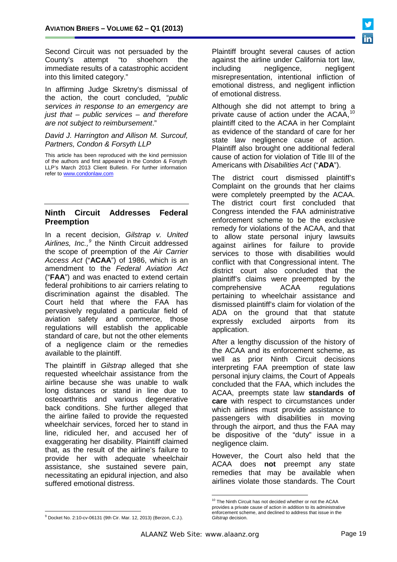Second Circuit was not persuaded by the County's attempt "to shoehorn the immediate results of a catastrophic accident into this limited category."

In affirming Judge Skretny's dismissal of the action, the court concluded, "*public services in response to an emergency are just that – public services – and therefore are not subject to reimbursement*."

#### *David J. Harrington and Allison M. Surcouf, Partners, Condon & Forsyth LLP*

This article has been reproduced with the kind permission of the authors and first appeared in the Condon & Forsyth LLP's March 2013 Client Bulletin. For further information refer t[o www.condonlaw.com](http://www.condonlaw.com/)

#### **Ninth Circuit Addresses Federal Preemption**

In a recent decision, *Gilstrap v. United Airlines, Inc.,[9](#page-17-0)* the Ninth Circuit addressed the scope of preemption of the *Air Carrier Access Act* ("**ACAA**") of 1986, which is an amendment to the *Federal Aviation Act* ("**FAA**") and was enacted to extend certain federal prohibitions to air carriers relating to discrimination against the disabled. The Court held that where the FAA has pervasively regulated a particular field of aviation safety and commerce, those regulations will establish the applicable standard of care, but not the other elements of a negligence claim or the remedies available to the plaintiff.

<span id="page-18-1"></span><span id="page-18-0"></span>The plaintiff in *Gilstrap* alleged that she requested wheelchair assistance from the airline because she was unable to walk long distances or stand in line due to osteoarthritis and various degenerative back conditions. She further alleged that the airline failed to provide the requested wheelchair services, forced her to stand in line, ridiculed her, and accused her of exaggerating her disability. Plaintiff claimed that, as the result of the airline's failure to provide her with adequate wheelchair assistance, she sustained severe pain, necessitating an epidural injection, and also suffered emotional distress.

Plaintiff brought several causes of action against the airline under California tort law, including negligence, negligent misrepresentation, intentional infliction of emotional distress, and negligent infliction of emotional distress.

Although she did not attempt to bring a private cause of action under the ACAA,<sup>[10](#page-18-0)</sup> plaintiff cited to the ACAA in her Complaint as evidence of the standard of care for her state law negligence cause of action. Plaintiff also brought one additional federal cause of action for violation of Title III of the Americans with *Disabilities Act* ("**ADA**").

The district court dismissed plaintiff's Complaint on the grounds that her claims were completely preempted by the ACAA. The district court first concluded that Congress intended the FAA administrative enforcement scheme to be the exclusive remedy for violations of the ACAA, and that to allow state personal injury lawsuits against airlines for failure to provide services to those with disabilities would conflict with that Congressional intent. The district court also concluded that the plaintiff's claims were preempted by the comprehensive ACAA regulations pertaining to wheelchair assistance and dismissed plaintiff's claim for violation of the ADA on the ground that that statute expressly excluded airports from its application.

After a lengthy discussion of the history of the ACAA and its enforcement scheme, as well as prior Ninth Circuit decisions interpreting FAA preemption of state law personal injury claims, the Court of Appeals concluded that the FAA, which includes the ACAA, preempts state law **standards of care** with respect to circumstances under which airlines must provide assistance to passengers with disabilities in moving through the airport, and thus the FAA may be dispositive of the "duty" issue in a negligence claim.

However, the Court also held that the ACAA does **not** preempt any state remedies that may be available when airlines violate those standards. The Court



<sup>&</sup>lt;sup>10</sup> The Ninth Circuit has not decided whether or not the ACAA provides a private cause of action in addition to its administrative enforcement scheme, and declined to address that issue in the *Gilstrap* decision.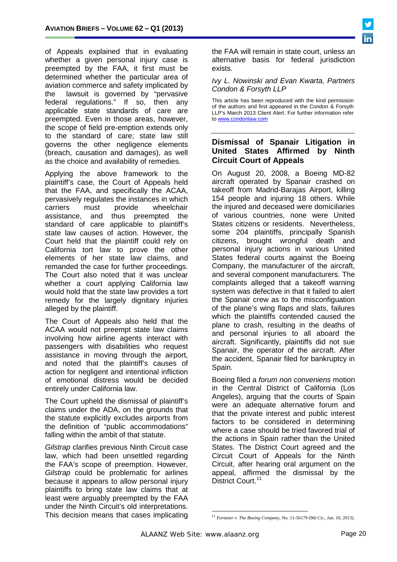of Appeals explained that in evaluating whether a given personal injury case is preempted by the FAA, it first must be determined whether the particular area of aviation commerce and safety implicated by the lawsuit is governed by "pervasive federal regulations." If so, then any applicable state standards of care are preempted. Even in those areas, however, the scope of field pre-emption extends only to the standard of care; state law still governs the other negligence elements (breach, causation and damages), as well as the choice and availability of remedies.

Applying the above framework to the plaintiff's case, the Court of Appeals held that the FAA, and specifically the ACAA, pervasively regulates the instances in which<br>carriers must provide wheelchair carriers must provide wheelchair assistance, and thus preempted the standard of care applicable to plaintiff's state law causes of action. However, the Court held that the plaintiff could rely on California tort law to prove the other elements of her state law claims, and remanded the case for further proceedings. The Court also noted that it was unclear whether a court applying California law would hold that the state law provides a tort remedy for the largely dignitary injuries alleged by the plaintiff.

The Court of Appeals also held that the ACAA would not preempt state law claims involving how airline agents interact with passengers with disabilities who request assistance in moving through the airport, and noted that the plaintiff's causes of action for negligent and intentional infliction of emotional distress would be decided entirely under California law.

The Court upheld the dismissal of plaintiff's claims under the ADA, on the grounds that the statute explicitly excludes airports from the definition of "public accommodations" falling within the ambit of that statute.

<span id="page-19-0"></span>*Gilstrap* clarifies previous Ninth Circuit case law, which had been unsettled regarding the FAA's scope of preemption. However, *Gilstrap* could be problematic for airlines because it appears to allow personal injury plaintiffs to bring state law claims that at least were arguably preempted by the FAA under the Ninth Circuit's old interpretations. This decision means that cases implicating

the FAA will remain in state court, unless an alternative basis for federal jurisdiction exists.

#### *Ivy L. Nowinski and Evan Kwarta, Partners Condon & Forsyth LLP*

This article has been reproduced with the kind permission of the authors and first appeared in the Condon & Forsyth LLP's March 2013 Client Alert. For further information refer to [www.condonlaw.com](http://www.condonlaw.com/)

# **Dismissal of Spanair Litigation in United States Affirmed by Ninth Circuit Court of Appeals**

On August 20, 2008, a Boeing MD-82 aircraft operated by Spanair crashed on takeoff from Madrid-Barajas Airport, killing 154 people and injuring 18 others. While the injured and deceased were domiciliaries of various countries, none were United States citizens or residents. Nevertheless, some 204 plaintiffs, principally Spanish citizens, brought wrongful death and personal injury actions in various United States federal courts against the Boeing Company, the manufacturer of the aircraft, and several component manufacturers. The complaints alleged that a takeoff warning system was defective in that it failed to alert the Spanair crew as to the misconfiguation of the plane's wing flaps and slats, failures which the plaintiffs contended caused the plane to crash, resulting in the deaths of and personal injuries to all aboard the aircraft. Significantly, plaintiffs did not sue Spanair, the operator of the aircraft. After the accident, Spanair filed for bankruptcy in Spain.

Boeing filed a *forum non conveniens* motion in the Central District of California (Los Angeles), arguing that the courts of Spain were an adequate alternative forum and that the private interest and public interest factors to be considered in determining where a case should be tried favored trial of the actions in Spain rather than the United States. The District Court agreed and the Circuit Court of Appeals for the Ninth Circuit, after hearing oral argument on the appeal, affirmed the dismissal by the District Court.<sup>[11](#page-18-1)</sup>

<sup>11</sup> *Fortaner v. The Boeing Company*, No. 11-56179 (9th Cir., Jan. 10, 2013).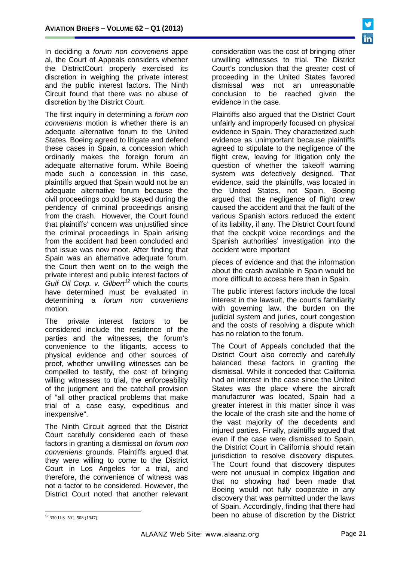In deciding a *forum non conveniens* appe al, the Court of Appeals considers whether the DistrictCourt properly exercised its discretion in weighing the private interest and the public interest factors. The Ninth Circuit found that there was no abuse of discretion by the District Court.

The first inquiry in determining a *forum non conveniens* motion is whether there is an adequate alternative forum to the United States. Boeing agreed to litigate and defend these cases in Spain, a concession which ordinarily makes the foreign forum an adequate alternative forum. While Boeing made such a concession in this case, plaintiffs argued that Spain would not be an adequate alternative forum because the civil proceedings could be stayed during the pendency of criminal proceedings arising from the crash. However, the Court found that plaintiffs' concern was unjustified since the criminal proceedings in Spain arising from the accident had been concluded and that issue was now moot. After finding that Spain was an alternative adequate forum, the Court then went on to the weigh the private interest and public interest factors of *Gulf Oil Corp. v. Gilbert[12](#page-19-0)* which the courts have determined must be evaluated in determining a *forum non conveniens*  motion.

The private interest factors to be considered include the residence of the parties and the witnesses, the forum's convenience to the litigants, access to physical evidence and other sources of proof, whether unwilling witnesses can be compelled to testify, the cost of bringing willing witnesses to trial, the enforceability of the judgment and the catchall provision of "all other practical problems that make trial of a case easy, expeditious and inexpensive".

The Ninth Circuit agreed that the District Court carefully considered each of these factors in granting a dismissal on *forum non conveniens* grounds. Plaintiffs argued that they were willing to come to the District Court in Los Angeles for a trial, and therefore, the convenience of witness was not a factor to be considered. However, the District Court noted that another relevant

consideration was the cost of bringing other unwilling witnesses to trial. The District Court's conclusion that the greater cost of proceeding in the United States favored dismissal was not an unreasonable conclusion to be reached given the evidence in the case.

Plaintiffs also argued that the District Court unfairly and improperly focused on physical evidence in Spain. They characterized such evidence as unimportant because plaintiffs agreed to stipulate to the negligence of the flight crew, leaving for litigation only the question of whether the takeoff warning system was defectively designed. That evidence, said the plaintiffs, was located in the United States, not Spain. Boeing argued that the negligence of flight crew caused the accident and that the fault of the various Spanish actors reduced the extent of its liability, if any. The District Court found that the cockpit voice recordings and the Spanish authorities' investigation into the accident were important

pieces of evidence and that the information about the crash available in Spain would be more difficult to access here than in Spain.

The public interest factors include the local interest in the lawsuit, the court's familiarity with governing law, the burden on the judicial system and juries, court congestion and the costs of resolving a dispute which has no relation to the forum.

The Court of Appeals concluded that the District Court also correctly and carefully balanced these factors in granting the dismissal. While it conceded that California had an interest in the case since the United States was the place where the aircraft manufacturer was located, Spain had a greater interest in this matter since it was the locale of the crash site and the home of the vast majority of the decedents and injured parties. Finally, plaintiffs argued that even if the case were dismissed to Spain, the District Court in California should retain jurisdiction to resolve discovery disputes. The Court found that discovery disputes were not unusual in complex litigation and that no showing had been made that Boeing would not fully cooperate in any discovery that was permitted under the laws of Spain. Accordingly, finding that there had been no abuse of discretion by the District

<span id="page-20-0"></span><sup>12</sup> 330 U.S. 501, 508 (1947).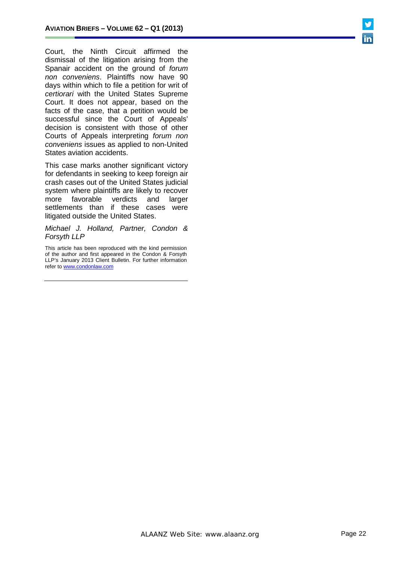Court, the Ninth Circuit affirmed the dismissal of the litigation arising from the Spanair accident on the ground of *forum non conveniens*. Plaintiffs now have 90 days within which to file a petition for writ of *certiorari* with the United States Supreme Court. It does not appear, based on the facts of the case, that a petition would be successful since the Court of Appeals' decision is consistent with those of other Courts of Appeals interpreting *forum non conveniens* issues as applied to non-United States aviation accidents.

This case marks another significant victory for defendants in seeking to keep foreign air crash cases out of the United States judicial system where plaintiffs are likely to recover more favorable verdicts and larger settlements than if these cases were litigated outside the United States.

*Michael J. Holland, Partner, Condon & Forsyth LLP*

This article has been reproduced with the kind permission of the author and first appeared in the Condon & Forsyth LLP's January 2013 Client Bulletin. For further information refer t[o www.condonlaw.com](http://www.condonlaw.com/)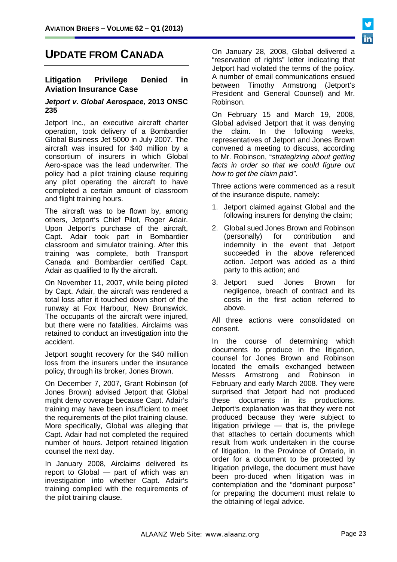# **UPDATE FROM CANADA**

#### **Litigation Privilege Denied in Aviation Insurance Case**

#### *Jetport v. Global Aerospace,* **2013 ONSC 235**

Jetport Inc., an executive aircraft charter operation, took delivery of a Bombardier Global Business Jet 5000 in July 2007. The aircraft was insured for \$40 million by a consortium of insurers in which Global Aero-space was the lead underwriter. The policy had a pilot training clause requiring any pilot operating the aircraft to have completed a certain amount of classroom and flight training hours.

The aircraft was to be flown by, among others, Jetport's Chief Pilot, Roger Adair. Upon Jetport's purchase of the aircraft, Capt. Adair took part in Bombardier classroom and simulator training. After this training was complete, both Transport Canada and Bombardier certified Capt. Adair as qualified to fly the aircraft.

On November 11, 2007, while being piloted by Capt. Adair, the aircraft was rendered a total loss after it touched down short of the runway at Fox Harbour, New Brunswick. The occupants of the aircraft were injured, but there were no fatalities. Airclaims was retained to conduct an investigation into the accident.

Jetport sought recovery for the \$40 million loss from the insurers under the insurance policy, through its broker, Jones Brown.

On December 7, 2007, Grant Robinson (of Jones Brown) advised Jetport that Global might deny coverage because Capt. Adair's training may have been insufficient to meet the requirements of the pilot training clause. More specifically, Global was alleging that Capt. Adair had not completed the required number of hours. Jetport retained litigation counsel the next day.

In January 2008, Airclaims delivered its report to Global — part of which was an investigation into whether Capt. Adair's training complied with the requirements of the pilot training clause.

On January 28, 2008, Global delivered a "reservation of rights" letter indicating that Jetport had violated the terms of the policy. A number of email communications ensued between Timothy Armstrong (Jetport's President and General Counsel) and Mr. Robinson.

On February 15 and March 19, 2008, Global advised Jetport that it was denying the claim. In the following weeks, representatives of Jetport and Jones Brown convened a meeting to discuss, according to Mr. Robinson, "*strategizing about getting facts in order so that we could figure out how to get the claim paid"*.

Three actions were commenced as a result of the insurance dispute, namely:

- 1. Jetport claimed against Global and the following insurers for denying the claim;
- 2. Global sued Jones Brown and Robinson (personally) for contribution and indemnity in the event that Jetport succeeded in the above referenced action. Jetport was added as a third party to this action; and
- 3. Jetport sued Jones Brown for negligence, breach of contract and its costs in the first action referred to above.

All three actions were consolidated on consent.

In the course of determining which documents to produce in the litigation, counsel for Jones Brown and Robinson located the emails exchanged between Messrs Armstrong and Robinson in February and early March 2008. They were surprised that Jetport had not produced these documents in its productions. Jetport's explanation was that they were not produced because they were subject to litigation privilege — that is, the privilege that attaches to certain documents which result from work undertaken in the course of litigation. In the Province of Ontario, in order for a document to be protected by litigation privilege, the document must have been pro-duced when litigation was in contemplation and the "dominant purpose" for preparing the document must relate to the obtaining of legal advice.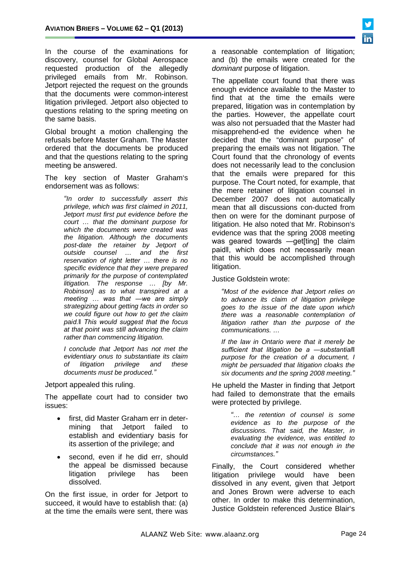In the course of the examinations for discovery, counsel for Global Aerospace requested production of the allegedly privileged emails from Mr. Robinson. Jetport rejected the request on the grounds that the documents were common-interest litigation privileged. Jetport also objected to questions relating to the spring meeting on the same basis.

Global brought a motion challenging the refusals before Master Graham. The Master ordered that the documents be produced and that the questions relating to the spring meeting be answered.

The key section of Master Graham's endorsement was as follows:

> *"In order to successfully assert this privilege, which was first claimed in 2011, Jetport must first put evidence before the court … that the dominant purpose for which the documents were created was the litigation. Although the documents post-date the retainer by Jetport of outside counsel … and the first reservation of right letter … there is no specific evidence that they were prepared primarily for the purpose of contemplated litigation. The response … [by Mr. Robinson] as to what transpired at a meeting … was that ―we are simply strategizing about getting facts in order so we could figure out how to get the claim paid.‖ This would suggest that the focus at that point was still advancing the claim rather than commencing litigation.*

> *I conclude that Jetport has not met the evidentiary onus to substantiate its claim of litigation privilege and documents must be produced."*

Jetport appealed this ruling.

The appellate court had to consider two issues:

- first, did Master Graham err in determining that Jetport failed to establish and evidentiary basis for its assertion of the privilege; and
- second, even if he did err, should the appeal be dismissed because litigation privilege has been dissolved.

On the first issue, in order for Jetport to succeed, it would have to establish that: (a) at the time the emails were sent, there was

a reasonable contemplation of litigation; and (b) the emails were created for the *dominant* purpose of litigation.

The appellate court found that there was enough evidence available to the Master to find that at the time the emails were prepared, litigation was in contemplation by the parties. However, the appellate court was also not persuaded that the Master had misapprehend-ed the evidence when he decided that the "dominant purpose" of preparing the emails was not litigation. The Court found that the chronology of events does not necessarily lead to the conclusion that the emails were prepared for this purpose. The Court noted, for example, that the mere retainer of litigation counsel in December 2007 does not automatically mean that all discussions con-ducted from then on were for the dominant purpose of litigation. He also noted that Mr. Robinson's evidence was that the spring 2008 meeting was geared towards —get[ting] the claim paid‖, which does not necessarily mean that this would be accomplished through litigation.

Justice Goldstein wrote:

*"Most of the evidence that Jetport relies on to advance its claim of litigation privilege goes to the issue of the date upon which there was a reasonable contemplation of litigation rather than the purpose of the communications. …* 

*If the law in Ontario were that it merely be sufficient that litigation be a ―substantial‖ purpose for the creation of a document, I might be persuaded that litigation cloaks the six documents and the spring 2008 meeting."*

He upheld the Master in finding that Jetport had failed to demonstrate that the emails were protected by privilege.

> *"… the retention of counsel is some evidence as to the purpose of the discussions. That said, the Master, in evaluating the evidence, was entitled to conclude that it was not enough in the circumstances."*

Finally, the Court considered whether litigation privilege would have been dissolved in any event, given that Jetport and Jones Brown were adverse to each other. In order to make this determination, Justice Goldstein referenced Justice Blair's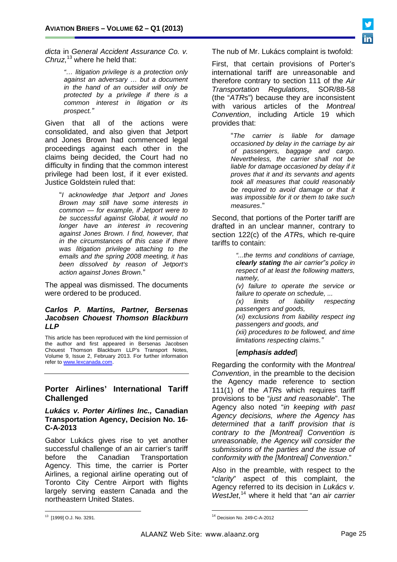*dicta* in *General Accident Assurance Co. v. Chruz*, [13](#page-20-0) where he held that:

> *"… litigation privilege is a protection only against an adversary … but a document in the hand of an outsider will only be protected by a privilege if there is a common interest in litigation or its prospect."*

Given that all of the actions were consolidated, and also given that Jetport and Jones Brown had commenced legal proceedings against each other in the claims being decided, the Court had no difficulty in finding that the common interest privilege had been lost, if it ever existed. Justice Goldstein ruled that:

"*I acknowledge that Jetport and Jones Brown may still have some interests in common — for example, if Jetport were to be successful against Global, it would no longer have an interest in recovering against Jones Brown. I find, however, that in the circumstances of this case if there was litigation privilege attaching to the emails and the spring 2008 meeting, it has been dissolved by reason of Jetport's action against Jones Brown.*"

The appeal was dismissed. The documents were ordered to be produced.

#### *[Carlos P. Martins,](http://www.lexcanada.com/lb_martins.html) Partner, Bersenas Jacobsen Chouest Thomson Blackburn LLP*

This article has been reproduced with the kind permission of the author and first appeared in Bersenas Jacobsen Chouest Thomson Blackburn LLP's Transport Notes, Volume 9, Issue 2, February 2013. For further information refer to www.lexcanada.com.

# **Porter Airlines' International Tariff Challenged**

#### *Lukács v. Porter Airlines Inc.,* **Canadian Transportation Agency, Decision No. 16- C-A-2013**

Gabor Lukács gives rise to yet another successful challenge of an air carrier's tariff before the Canadian Transportation Agency. This time, the carrier is Porter Airlines, a regional airline operating out of Toronto City Centre Airport with flights largely serving eastern Canada and the northeastern United States.

The nub of Mr. Lukács complaint is twofold:

First, that certain provisions of Porter's international tariff are unreasonable and therefore contrary to section 111 of the *Air Transportation Regulations*, SOR/88-58 (the "*ATR*s") because they are inconsistent with various articles of the *Montreal Convention*, including Article 19 which provides that:

> "*The carrier is liable for damage occasioned by delay in the carriage by air of passengers, baggage and cargo. Nevertheless, the carrier shall not be liable for damage occasioned by delay if it proves that it and its servants and agents took all measures that could reasonably be required to avoid damage or that it was impossible for it or them to take such measures*."

Second, that portions of the Porter tariff are drafted in an unclear manner, contrary to section 122(c) of the *ATR*s, which re-quire tariffs to contain:

> *"...the terms and conditions of carriage, clearly stating the air carrier"s policy in respect of at least the following matters, namely, (v) failure to operate the service or failure to operate on schedule, ... (x) limits of liability respecting passengers and goods, (xi) exclusions from liability respect ing*

> *passengers and goods, and (xii) procedures to be followed, and time limitations respecting claims."*

#### [*emphasis added*]

Regarding the conformity with the *Montreal Convention*, in the preamble to the decision the Agency made reference to section 111(1) of the *ATR*s which requires tariff provisions to be "*just and reasonable*". The Agency also noted "*in keeping with past Agency decisions, where the Agency has determined that a tariff provision that is contrary to the [Montreal] Convention is unreasonable, the Agency will consider the submissions of the parties and the issue of conformity with the [Montreal] Convention*."

Also in the preamble, with respect to the "*clarity*" aspect of this complaint, the Agency referred to its decision in *Lukács v. WestJet*, [14](#page-24-0) where it held that "*an air carrier* 

<span id="page-24-1"></span><span id="page-24-0"></span><sup>13</sup> [1999] O.J. No. 3291.

<sup>14</sup> Decision No. 249-C-A-2012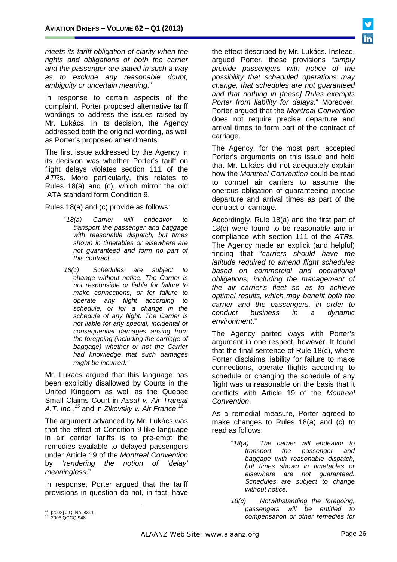*meets its tariff obligation of clarity when the rights and obligations of both the carrier and the passenger are stated in such a way as to exclude any reasonable doubt, ambiguity or uncertain meaning*."

In response to certain aspects of the complaint, Porter proposed alternative tariff wordings to address the issues raised by Mr. Lukács. In its decision, the Agency addressed both the original wording, as well as Porter's proposed amendments.

The first issue addressed by the Agency in its decision was whether Porter's tariff on flight delays violates section 111 of the *ATR*s. More particularly, this relates to Rules 18(a) and (c), which mirror the old IATA standard form Condition 9.

Rules 18(a) and (c) provide as follows:

- *"18(a) Carrier will endeavor to transport the passenger and baggage with reasonable dispatch, but times shown in timetables or elsewhere are not guaranteed and form no part of this contract. ...*
- *18(c) Schedules are subject to change without notice. The Carrier is not responsible or liable for failure to make connections, or for failure to operate any flight according to schedule, or for a change in the schedule of any flight. The Carrier is not liable for any special, incidental or consequential damages arising from the foregoing (including the carriage of baggage) whether or not the Carrier had knowledge that such damages might be incurred."*

Mr. Lukács argued that this language has been explicitly disallowed by Courts in the United Kingdom as well as the Quebec Small Claims Court in *Assaf v. Air Transat A.T. Inc.,[15](#page-24-1)* and in *Zikovsky v. Air France*. [16](#page-25-0)

The argument advanced by Mr. Lukács was that the effect of Condition 9-like language in air carrier tariffs is to pre-empt the remedies available to delayed passengers under Article 19 of the *Montreal Convention*  by "*rendering the notion of 'delay' meaningless*."

In response, Porter argued that the tariff provisions in question do not, in fact, have

the effect described by Mr. Lukács. Instead, argued Porter, these provisions "*simply provide passengers with notice of the possibility that scheduled operations may change, that schedules are not guaranteed and that nothing in [these] Rules exempts Porter from liability for delays*." Moreover, Porter argued that the *Montreal Convention*  does not require precise departure and arrival times to form part of the contract of carriage.

The Agency, for the most part, accepted Porter's arguments on this issue and held that Mr. Lukács did not adequately explain how the *Montreal Convention* could be read to compel air carriers to assume the onerous obligation of guaranteeing precise departure and arrival times as part of the contract of carriage.

Accordingly, Rule 18(a) and the first part of 18(c) were found to be reasonable and in compliance with section 111 of the *ATR*s. The Agency made an explicit (and helpful) finding that "*carriers should have the latitude required to amend flight schedules based on commercial and operational obligations, including the management of the air carrier's fleet so as to achieve optimal results, which may benefit both the carrier and the passengers, in order to conduct business in a dynamic environment*."

The Agency parted ways with Porter's argument in one respect, however. It found that the final sentence of Rule 18(c), where Porter disclaims liability for failure to make connections, operate flights according to schedule or changing the schedule of any flight was unreasonable on the basis that it conflicts with Article 19 of the *Montreal Convention*.

As a remedial measure, Porter agreed to make changes to Rules 18(a) and (c) to read as follows:

- *"18(a) The carrier will endeavor to transport the passenger and baggage with reasonable dispatch, but times shown in timetables or elsewhere are not guaranteed. Schedules are subject to change without notice.*
- *18(c) Notwithstanding the foregoing, passengers will be entitled to compensation or other remedies for*



<span id="page-25-1"></span><span id="page-25-0"></span><sup>&</sup>lt;sup>15</sup> [2002] J.Q. No. 8391<br><sup>16</sup> 2006 QCCQ 948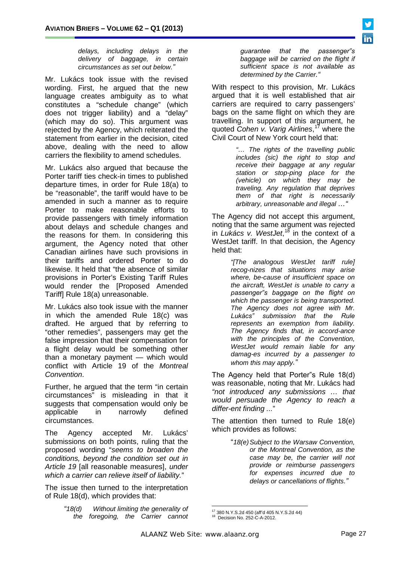*delays, including delays in the delivery of baggage, in certain circumstances as set out below."*

Mr. Lukács took issue with the revised wording. First, he argued that the new language creates ambiguity as to what constitutes a "schedule change" (which does not trigger liability) and a "delay" (which may do so). This argument was rejected by the Agency, which reiterated the statement from earlier in the decision, cited above, dealing with the need to allow carriers the flexibility to amend schedules.

Mr. Lukács also argued that because the Porter tariff ties check-in times to published departure times, in order for Rule 18(a) to be "reasonable", the tariff would have to be amended in such a manner as to require Porter to make reasonable efforts to provide passengers with timely information about delays and schedule changes and the reasons for them. In considering this argument, the Agency noted that other Canadian airlines have such provisions in their tariffs and ordered Porter to do likewise. It held that "the absence of similar provisions in Porter's Existing Tariff Rules would render the [Proposed Amended Tariff] Rule 18(a) unreasonable.

Mr. Lukács also took issue with the manner in which the amended Rule 18(c) was drafted. He argued that by referring to "other remedies", passengers may get the false impression that their compensation for a flight delay would be something other than a monetary payment — which would conflict with Article 19 of the *Montreal Convention*.

Further, he argued that the term "in certain circumstances" is misleading in that it suggests that compensation would only be applicable in narrowly defined circumstances.

The Agency accepted Mr. Lukács' submissions on both points, ruling that the proposed wording "*seems to broaden the conditions, beyond the condition set out in Article 19* [all reasonable measures], *under which a carrier can relieve itself of liability.*"

<span id="page-26-1"></span><span id="page-26-0"></span>The issue then turned to the interpretation of Rule 18(d), which provides that:

> *"18(d) Without limiting the generality of the foregoing, the Carrier cannot*

*guarantee that the passenger"s baggage will be carried on the flight if sufficient space is not available as determined by the Carrier."*

With respect to this provision, Mr. Lukács argued that it is well established that air carriers are required to carry passengers' bags on the same flight on which they are travelling. In support of this argument, he quoted *Cohen v. Varig Airlines*, [17](#page-25-1) where the Civil Court of New York court held that:

> *"… The rights of the travelling public includes (sic) the right to stop and receive their baggage at any regular station or stop-ping place for the (vehicle) on which they may be traveling. Any regulation that deprives them of that right is necessarily arbitrary, unreasonable and illegal …"*

The Agency did not accept this argument, noting that the same argument was rejected in *Lukács v. WestJet*, [18](#page-26-0) in the context of a WestJet tariff. In that decision, the Agency held that:

> *"[The analogous WestJet tariff rule] recog-nizes that situations may arise where, be-cause of insufficient space on the aircraft, WestJet is unable to carry a passenger"s baggage on the flight on which the passenger is being transported. The Agency does not agree with Mr. Lukács" submission that the Rule represents an exemption from liability. The Agency finds that, in accord-ance with the principles of the Convention, WestJet would remain liable for any damag-es incurred by a passenger to whom this may apply."*

The Agency held that Porter"s Rule 18(d) was reasonable, noting that Mr. Lukács had *"not introduced any submissions … that would persuade the Agency to reach a differ-ent finding ...*"

The attention then turned to Rule 18(e) which provides as follows:

> "*18(e)Subject to the Warsaw Convention, or the Montreal Convention, as the case may be, the carrier will not provide or reimburse passengers for expenses incurred due to delays or cancellations of flights."*



<sup>17</sup> 380 N.Y.S.2d 450 (aff'd 405 N.Y.S.2d 44) 18 Decision No. 252-C-A-2012.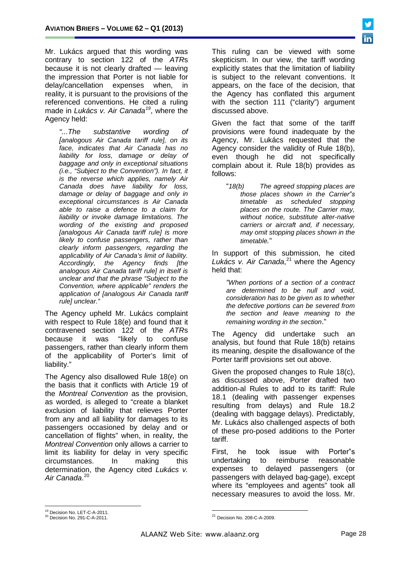Mr. Lukács argued that this wording was contrary to section 122 of the *ATR*s because it is not clearly drafted — leaving the impression that Porter is not liable for delay/cancellation expenses when, in reality, it is pursuant to the provisions of the referenced conventions. He cited a ruling made in *Lukács v. Air Canada[19](#page-26-1)*, where the Agency held:

*"...The substantive wording of [analogous Air Canada tariff rule], on its face, indicates that Air Canada has no liability for loss, damage or delay of baggage and only in exceptional situations (i.e., "Subject to the Convention"). In fact, it is the reverse which applies, namely Air Canada does have liability for loss, damage or delay of baggage and only in exceptional circumstances is Air Canada able to raise a defence to a claim for liability or invoke damage limitations. The wording of the existing and proposed [analogous Air Canada tariff rule] is more likely to confuse passengers, rather than clearly inform passengers, regarding the applicability of Air Canada's limit of liability. Accordingly, the Agency finds [the analogous Air Canada tariff rule] in itself is unclear and that the phrase "Subject to the Convention, where applicable" renders the application of [analogous Air Canada tariff rule] unclear."*

The Agency upheld Mr. Lukács complaint with respect to Rule 18(e) and found that it contravened section 122 of the *ATR*s because it was "likely to confuse passengers, rather than clearly inform them of the applicability of Porter's limit of liability."

The Agency also disallowed Rule 18(e) on the basis that it conflicts with Article 19 of the *Montreal Convention* as the provision, as worded, is alleged to "create a blanket exclusion of liability that relieves Porter from any and all liability for damages to its passengers occasioned by delay and or cancellation of flights" when, in reality, the *Montreal Convention* only allows a carrier to limit its liability for delay in very specific circumstances. In making this determination, the Agency cited *Lukács v. Air Canada*. [20](#page-27-0)

This ruling can be viewed with some skepticism. In our view, the tariff wording explicitly states that the limitation of liability is subject to the relevant conventions. It appears, on the face of the decision, that the Agency has conflated this argument with the section 111 ("clarity") argument discussed above.

Given the fact that some of the tariff provisions were found inadequate by the Agency, Mr. Lukács requested that the Agency consider the validity of Rule 18(b), even though he did not specifically complain about it. Rule 18(b) provides as follows:

"*18(b) The agreed stopping places are those places shown in the Carrier"s timetable as scheduled stopping places on the route. The Carrier may, without notice, substitute alter-native carriers or aircraft and, if necessary, may omit stopping places shown in the timetable.*"

In support of this submission, he cited *Lukács v. Air Canada*, [21](#page-27-1) where the Agency held that:

*"When portions of a section of a contract are determined to be null and void, consideration has to be given as to whether the defective portions can be severed from the section and leave meaning to the remaining wording in the section*."

The Agency did undertake such an analysis, but found that Rule 18(b) retains its meaning, despite the disallowance of the Porter tariff provisions set out above.

Given the proposed changes to Rule 18(c), as discussed above, Porter drafted two addition-al Rules to add to its tariff: Rule 18.1 (dealing with passenger expenses resulting from delays) and Rule 18.2 (dealing with baggage delays). Predictably, Mr. Lukács also challenged aspects of both of these pro-posed additions to the Porter tariff.

First, he took issue with Porter"s undertaking to reimburse reasonable expenses to delayed passengers (or passengers with delayed bag-gage), except where its "employees and agents" took all necessary measures to avoid the loss. Mr.



<span id="page-27-2"></span><sup>&</sup>lt;sup>19</sup> Decision No. LET-C-A-2011.<br><sup>20</sup> Decision No. 291-C-A-2011.

<span id="page-27-1"></span><span id="page-27-0"></span>

<sup>21</sup> Decision No. 208-C-A-2009.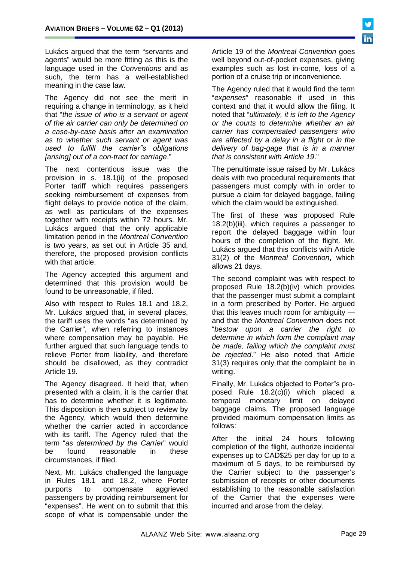Lukács argued that the term "servants and agents" would be more fitting as this is the language used in the *Conventions* and as such, the term has a well-established meaning in the case law.

The Agency did not see the merit in requiring a change in terminology, as it held that "*the issue of who is a servant or agent of the air carrier can only be determined on a case-by-case basis after an examination as to whether such servant or agent was used to fulfill the carrier"s obligations [arising] out of a con-tract for carriage*."

The next contentious issue was the provision in s. 18.1(ii) of the proposed Porter tariff which requires passengers seeking reimbursement of expenses from flight delays to provide notice of the claim, as well as particulars of the expenses together with receipts within 72 hours. Mr. Lukács argued that the only applicable limitation period in the *Montreal Convention*  is two years, as set out in Article 35 and, therefore, the proposed provision conflicts with that article.

The Agency accepted this argument and determined that this provision would be found to be unreasonable, if filed.

Also with respect to Rules 18.1 and 18.2, Mr. Lukács argued that, in several places, the tariff uses the words "as determined by the Carrier", when referring to instances where compensation may be payable. He further argued that such language tends to relieve Porter from liability, and therefore should be disallowed, as they contradict Article 19.

The Agency disagreed. It held that, when presented with a claim, it is the carrier that has to determine whether it is legitimate. This disposition is then subject to review by the Agency, which would then determine whether the carrier acted in accordance with its tariff. The Agency ruled that the term "*as determined by the Carrier*" would be found reasonable in these circumstances, if filed.

Next, Mr. Lukács challenged the language in Rules 18.1 and 18.2, where Porter purports to compensate aggrieved passengers by providing reimbursement for "expenses". He went on to submit that this scope of what is compensable under the

Article 19 of the *Montreal Convention* goes well beyond out-of-pocket expenses, giving examples such as lost in-come, loss of a portion of a cruise trip or inconvenience.

The Agency ruled that it would find the term "*expenses*" reasonable if used in this context and that it would allow the filing. It noted that "*ultimately, it is left to the Agency or the courts to determine whether an air carrier has compensated passengers who are affected by a delay in a flight or in the delivery of bag-gage that is in a manner that is consistent with Article 19*."

The penultimate issue raised by Mr. Lukács deals with two procedural requirements that passengers must comply with in order to pursue a claim for delayed baggage, failing which the claim would be extinguished.

The first of these was proposed Rule 18.2(b)(iii), which requires a passenger to report the delayed baggage within four hours of the completion of the flight. Mr. Lukács argued that this conflicts with Article 31(2) of the *Montreal Convention*, which allows 21 days.

The second complaint was with respect to proposed Rule 18.2(b)(iv) which provides that the passenger must submit a complaint in a form prescribed by Porter. He argued that this leaves much room for ambiguity and that the *Montreal Convention* does not "*bestow upon a carrier the right to determine in which form the complaint may be made, failing which the complaint must be rejected*." He also noted that Article 31(3) requires only that the complaint be in writing.

Finally, Mr. Lukács objected to Porter"s proposed Rule 18.2(c)(i) which placed a temporal monetary limit on delayed baggage claims. The proposed language provided maximum compensation limits as follows:

After the initial 24 hours following completion of the flight, authorize incidental expenses up to CAD\$25 per day for up to a maximum of 5 days, to be reimbursed by the Carrier subject to the passenger's submission of receipts or other documents establishing to the reasonable satisfaction of the Carrier that the expenses were incurred and arose from the delay.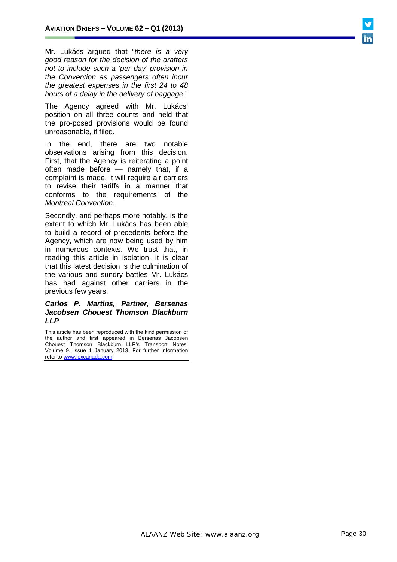Mr. Lukács argued that "*there is a very good reason for the decision of the drafters not to include such a 'per day' provision in the Convention as passengers often incur the greatest expenses in the first 24 to 48 hours of a delay in the delivery of baggage*."

The Agency agreed with Mr. Lukács' position on all three counts and held that the pro-posed provisions would be found unreasonable, if filed.

In the end, there are two notable observations arising from this decision. First, that the Agency is reiterating a point often made before — namely that, if a complaint is made, it will require air carriers to revise their tariffs in a manner that conforms to the requirements of the *Montreal Convention*.

Secondly, and perhaps more notably, is the extent to which Mr. Lukács has been able to build a record of precedents before the Agency, which are now being used by him in numerous contexts. We trust that, in reading this article in isolation, it is clear that this latest decision is the culmination of the various and sundry battles Mr. Lukács has had against other carriers in the previous few years.

#### *[Carlos P. Martins,](http://www.lexcanada.com/lb_martins.html) Partner, Bersenas Jacobsen Chouest Thomson Blackburn LLP*

This article has been reproduced with the kind permission of the author and first appeared in Bersenas Jacobsen Chouest Thomson Blackburn LLP's Transport Notes, Volume 9, Issue 1 January 2013. For further information refer to www.lexcanada.com.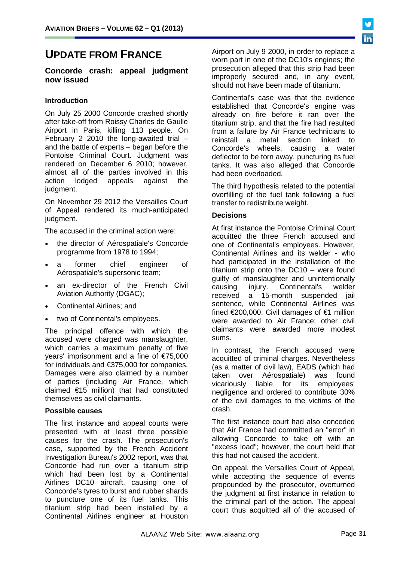# **UPDATE FROM FRANCE**

#### **Concorde crash: appeal judgment now issued**

#### **Introduction**

On July 25 2000 Concorde crashed shortly after take-off from Roissy Charles de Gaulle Airport in Paris, killing 113 people. On February 2 2010 the long-awaited trial – and the battle of experts – began before the Pontoise Criminal Court. Judgment was rendered on December 6 2010; however, almost all of the parties involved in this action lodged appeals against the lodged appeals judament.

On November 29 2012 the Versailles Court of Appeal rendered its much-anticipated judgment.

The accused in the criminal action were:

- the director of Aérospatiale's Concorde programme from 1978 to 1994;
- a former chief engineer of Aérospatiale's supersonic team;
- an ex-director of the French Civil Aviation Authority (DGAC);
- Continental Airlines; and
- two of Continental's employees.

The principal offence with which the accused were charged was manslaughter, which carries a maximum penalty of five years' imprisonment and a fine of €75,000 for individuals and €375,000 for companies. Damages were also claimed by a number of parties (including Air France, which claimed €15 million) that had constituted themselves as civil claimants.

#### **Possible causes**

The first instance and appeal courts were presented with at least three possible causes for the crash. The prosecution's case, supported by the French Accident Investigation Bureau's 2002 report, was that Concorde had run over a titanium strip which had been lost by a Continental Airlines DC10 aircraft, causing one of Concorde's tyres to burst and rubber shards to puncture one of its fuel tanks. This titanium strip had been installed by a Continental Airlines engineer at Houston

Airport on July 9 2000, in order to replace a worn part in one of the DC10's engines; the prosecution alleged that this strip had been improperly secured and, in any event, should not have been made of titanium.

Continental's case was that the evidence established that Concorde's engine was already on fire before it ran over the titanium strip, and that the fire had resulted from a failure by Air France technicians to reinstall a metal section linked to Concorde's wheels, causing a water deflector to be torn away, puncturing its fuel tanks. It was also alleged that Concorde had been overloaded.

The third hypothesis related to the potential overfilling of the fuel tank following a fuel transfer to redistribute weight.

#### **Decisions**

At first instance the Pontoise Criminal Court acquitted the three French accused and one of Continental's employees. However, Continental Airlines and its welder - who had participated in the installation of the titanium strip onto the DC10 – were found guilty of manslaughter and unintentionally<br>causing injury. Continental's welder causing injury. Continental's welder received a 15-month suspended jail sentence, while Continental Airlines was fined €200,000. Civil damages of €1 million were awarded to Air France; other civil claimants were awarded more modest sums.

In contrast, the French accused were acquitted of criminal charges. Nevertheless (as a matter of civil law), EADS (which had taken over Aérospatiale) was found vicariously liable for its employees' negligence and ordered to contribute 30% of the civil damages to the victims of the crash.

The first instance court had also conceded that Air France had committed an "error" in allowing Concorde to take off with an "excess load"; however, the court held that this had not caused the accident.

On appeal, the Versailles Court of Appeal, while accepting the sequence of events propounded by the prosecutor, overturned the judgment at first instance in relation to the criminal part of the action. The appeal court thus acquitted all of the accused of

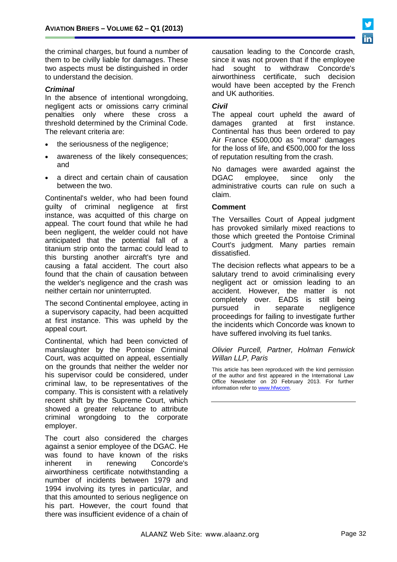the criminal charges, but found a number of them to be civilly liable for damages. These two aspects must be distinguished in order to understand the decision.

#### *Criminal*

In the absence of intentional wrongdoing, negligent acts or omissions carry criminal penalties only where these cross a threshold determined by the Criminal Code. The relevant criteria are:

- the seriousness of the negligence;
- awareness of the likely consequences; and
- a direct and certain chain of causation between the two.

Continental's welder, who had been found guilty of criminal negligence at first instance, was acquitted of this charge on appeal. The court found that while he had been negligent, the welder could not have anticipated that the potential fall of a titanium strip onto the tarmac could lead to this bursting another aircraft's tyre and causing a fatal accident. The court also found that the chain of causation between the welder's negligence and the crash was neither certain nor uninterrupted.

The second Continental employee, acting in a supervisory capacity, had been acquitted at first instance. This was upheld by the appeal court.

Continental, which had been convicted of manslaughter by the Pontoise Criminal Court, was acquitted on appeal, essentially on the grounds that neither the welder nor his supervisor could be considered, under criminal law, to be representatives of the company. This is consistent with a relatively recent shift by the Supreme Court, which showed a greater reluctance to attribute criminal wrongdoing to the corporate employer.

The court also considered the charges against a senior employee of the DGAC. He was found to have known of the risks<br>inherent in renewing Concorde's in renewing Concorde's airworthiness certificate notwithstanding a number of incidents between 1979 and 1994 involving its tyres in particular, and that this amounted to serious negligence on his part. However, the court found that there was insufficient evidence of a chain of

causation leading to the Concorde crash, since it was not proven that if the employee had sought to withdraw Concorde's had sought to withdraw Concorde's airworthiness certificate, such decision would have been accepted by the French and UK authorities.

# *Civil*

The appeal court upheld the award of damages granted at first instance. Continental has thus been ordered to pay Air France €500,000 as "moral" damages for the loss of life, and €500,000 for the loss of reputation resulting from the crash.

No damages were awarded against the DGAC employee, since only the administrative courts can rule on such a claim.

#### **Comment**

The Versailles Court of Appeal judgment has provoked similarly mixed reactions to those which greeted the Pontoise Criminal Court's judgment. Many parties remain dissatisfied.

The decision reflects what appears to be a salutary trend to avoid criminalising every negligent act or omission leading to an accident. However, the matter is not completely over. EADS is still being<br>pursued in separate nealigence in separate negligence proceedings for failing to investigate further the incidents which Concorde was known to have suffered involving its fuel tanks.

#### *Olivier Purcell, Partner, Holman Fenwick Willan LLP, Paris*

This article has been reproduced with the kind permission of the author and first appeared in the International Law Office Newsletter on 20 February 2013. For further information refer t[o www.hfwc](http://www.hfw/)om.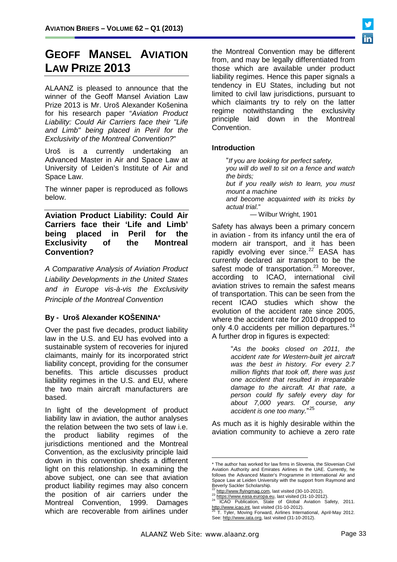# **GEOFF MANSEL AVIATION LAW PRIZE 2013**

ALAANZ is pleased to announce that the winner of the Geoff Mansel Aviation Law Prize 2013 is Mr. Uroš Alexander Košenina for his research paper "*Aviation Product Liability: Could Air Carriers face their "Life and Limb" being placed in Peril for the Exclusivity of the Montreal Convention?*"

Uroš is a currently undertaking an Advanced Master in Air and Space Law at University of Leiden's Institute of Air and Space Law.

The winner paper is reproduced as follows below.

**Aviation Product Liability: Could Air Carriers face their 'Life and Limb' being placed in Peril for the Exclusivity of the Montreal Convention?**

*A Comparative Analysis of Aviation Product Liability Developments in the United States and in Europe vis-à-vis the Exclusivity Principle of the Montreal Convention*

# **By - Uroš Alexander KOŠENINA**\*

Over the past five decades, product liability law in the U.S. and EU has evolved into a sustainable system of recoveries for injured claimants, mainly for its incorporated strict liability concept, providing for the consumer benefits. This article discusses product liability regimes in the U.S. and EU, where the two main aircraft manufacturers are based.

<span id="page-32-3"></span><span id="page-32-2"></span><span id="page-32-1"></span><span id="page-32-0"></span>In light of the development of product liability law in aviation, the author analyses the relation between the two sets of law i.e. the product liability regimes of the jurisdictions mentioned and the Montreal Convention, as the exclusivity principle laid down in this convention sheds a different light on this relationship. In examining the above subject, one can see that aviation product liability regimes may also concern the position of air carriers under the Montreal Convention, 1999. Damages which are recoverable from airlines under

the Montreal Convention may be different from, and may be legally differentiated from those which are available under product liability regimes. Hence this paper signals a tendency in EU States, including but not limited to civil law jurisdictions, pursuant to which claimants try to rely on the latter regime notwithstanding the exclusivity principle laid down in the Montreal Convention.

### **Introduction**

"*If you are looking for perfect safety, you will do well to sit on a fence and watch the birds; but if you really wish to learn, you must* 

*mount a machine* 

*and become acquainted with its tricks by actual trial.*"

— Wilbur Wright, 1901

Safety has always been a primary concern in aviation - from its infancy until the era of modern air transport, and it has been rapidly evolving ever since.<sup>[22](#page-27-2)</sup> EASA has currently declared air transport to be the safest mode of transportation.<sup>[23](#page-32-0)</sup> Moreover, according to ICAO, international civil aviation strives to remain the safest means of transportation. This can be seen from the recent ICAO studies which show the evolution of the accident rate since 2005, where the accident rate for 2010 dropped to only 4.0 accidents per million departures. $24$ A further drop in figures is expected:

> "*As the books closed on 2011, the accident rate for Western-built jet aircraft was the best in history. For every 2.7 million flights that took off, there was just one accident that resulted in irreparable damage to the aircraft. At that rate, a person could fly safely every day for about 7,000 years. Of course, any accident is one too many.*" [25](#page-32-2)

As much as it is highly desirable within the aviation community to achieve a zero rate



<sup>-</sup>\* The author has worked for law firms in Slovenia, the Slovenian Civil Aviation Authority and Emirates Airlines in the UAE. Currently, he follows the Advanced Master's Programme in International Air and Space Law at Leiden University with the support from Raymond and Beverly Sackler Scholarship.<br>
<sup>22</sup> http://www.flyingmag.com, last visited (30-10-2012).

 $23 \frac{\text{http://www.nynigning, count, last visible (31-10-2012).}}{\text{http://www.easa.europa.eu, last visited (31-10-2012).}}$ 24 ICAO Publication, State of Global Aviation Safety, 2011.<br>
http://www.icao.int, last visited (31-10-2012).

T. Tyler, Moving Forward, Airlines International, April-May 2012. See[: http://www.iata.org, last visited \(31-10-2012\).](http://www.iata.org/)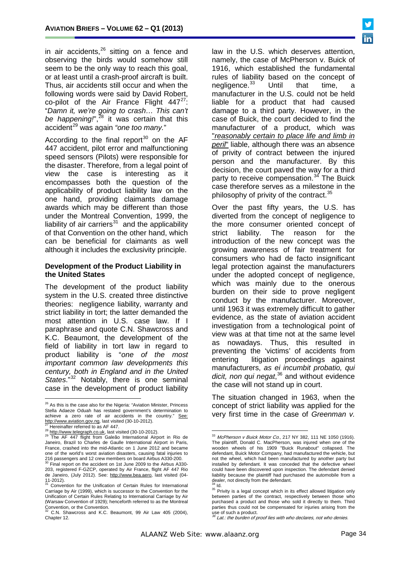in air accidents, $^{26}$  $^{26}$  $^{26}$  sitting on a fence and observing the birds would somehow still seem to be the only way to reach this goal, or at least until a crash-proof aircraft is built. Thus, air accidents still occur and when the following words were said by David Robert, co-pilot of the Air France Flight  $447^{27}$ : "*Damn it, we're going to crash… This can't*  be happening!",<sup>[28](#page-33-1)</sup> it was certain that this accident<sup>[29](#page-33-2)</sup> was again "one too many."

According to the final report<sup>[30](#page-33-3)</sup> on the AF 447 accident, pilot error and malfunctioning speed sensors (Pilots) were responsible for the disaster. Therefore, from a legal point of view the case is interesting as it encompasses both the question of the applicability of product liability law on the one hand, providing claimants damage awards which may be different than those under the Montreal Convention, 1999, the liability of air carriers $31$  and the applicability of that Convention on the other hand, which can be beneficial for claimants as well although it includes the exclusivity principle.

#### **Development of the Product Liability in the United States**

The development of the product liability system in the U.S. created three distinctive theories: negligence liability, warranty and strict liability in tort; the latter demanded the most attention in U.S. case law. If I paraphrase and quote C.N. Shawcross and K.C. Beaumont, the development of the field of liability in tort law in regard to product liability is "*one of the most important common law developments this century, both in England and in the United States*."[32](#page-33-5) Notably, there is one seminal case in the development of product liability

law in the U.S. which deserves attention, namely, the case of McPherson v. Buick of 1916, which established the fundamental rules of liability based on the concept of negligence.<sup>[33](#page-33-2)</sup> Until that time, a manufacturer in the U.S. could not be held liable for a product that had caused damage to a third party. However, in the case of Buick, the court decided to find the manufacturer of a product, which was "*reasonably certain to place life and limb in peril*" liable, although there was an absence of privity of contract between the injured person and the manufacturer. By this decision, the court paved the way for a third party to receive compensation.<sup>[34](#page-33-4)</sup> The Buick case therefore serves as a milestone in the philosophy of privity of the contract.<sup>[35](#page-33-6)</sup>

Over the past fifty years, the U.S. has diverted from the concept of negligence to the more consumer oriented concept of strict liability. The reason for the introduction of the new concept was the growing awareness of fair treatment for consumers who had de facto insignificant legal protection against the manufacturers under the adopted concept of negligence, which was mainly due to the onerous burden on their side to prove negligent conduct by the manufacturer. Moreover, until 1963 it was extremely difficult to gather evidence, as the state of aviation accident investigation from a technological point of view was at that time not at the same level as nowadays. Thus, this resulted in preventing the 'victims' of accidents from entering litigation proceedings against manufacturers, *as ei incumbit probatio, qui dicit, non qui negat*, [36](#page-33-7) and without evidence the case will not stand up in court.

The situation changed in 1963, when the concept of strict liability was applied for the very first time in the case of *Greenman v.* 

 $26$  As this is the case also for the Nigeria: "Aviation Minister, Princess Stella Adaeze Oduah has restated government's determination to achieve a zero rate of air accidents in the country." See: achieve a zero rate of air accidents in the country."<br>http://www.aviation.gov.ng, last visited (30-10-2012).

<span id="page-33-2"></span><span id="page-33-1"></span><span id="page-33-0"></span><sup>&</sup>lt;sup>27</sup> Hereinafter referred to as AF 447.<br><sup>28</sup> [http://www.telegraph.co.uk,](http://www.telegraph.co.uk/) last visited (30-10-2012).<br><sup>29</sup> The AF 447 [flight](http://en.wikipedia.org/wiki/Airliner) from [Galeão International Airport](http://en.wikipedia.org/wiki/Gale%C3%A3o_International_Airport) in Rio de Janeiro, Brazil to [Charles de Gaulle International Airport](http://en.wikipedia.org/wiki/Charles_de_Gaulle_International_Airport) in Paris, France, crashed into the mid-Atlantic on 1 June 2012 and became one of the world's worst aviation disasters, causing fatal injuries to

<span id="page-33-3"></span><sup>216</sup> passengers and 12 crew members on board Airbus A330-200.  $\frac{30}{30}$  Final report on the accident on 1st June 2009 to the Airbus A330-203, registered F-GZCP, operated by Air France, flight AF 447 Rio de Janeiro, (July 2012). See: <u>http://www.bea.aero,</u> last visited (04-

<span id="page-33-6"></span><span id="page-33-4"></span><sup>11-2012).&</sup>lt;br><sup>31</sup> Convention for the Unification of Certain Rules for International Carriage by Air (1999), which is successor to the Convention for the Unification of Certain Rules Relating to International Carriage by Air (Warsaw Convention of 1929); henceforth referred to as the Montreal

<span id="page-33-7"></span><span id="page-33-5"></span>Convention, or the Convention. <sup>32</sup> C.N. Shawcross and K.C. Beaumont, 99 Air Law 405 (2004), Chapter 12.

<sup>33</sup> McPherson v Buick Motor Co., 217 NY 382, 111 NE 1050 (1916). The [plaintiff,](http://en.wikipedia.org/wiki/Plaintiff) Donald C. MacPherson, was injured when one of the wooden wheels of his 1909 "Buick Runabout" collapsed. The [defendant,](http://en.wikipedia.org/wiki/Defendant) [Buick Motor Company,](http://en.wikipedia.org/wiki/Buick_Motor_Company) had manufactured the vehicle, but not the wheel, which had been manufactured by another party but installed by defendant. It was conceded that the defective wheel could have been discovered upon inspection. The defendant denied liability because the plaintiff had purchased the automobile from a dealer, not directly from the defendant.<br><sup>34</sup> ld.

<sup>&</sup>lt;sup>35</sup> Privity is a legal concept which in its effect allowed litigation only between parties of the contract, respectively between those who purchased a product and those who sold it directly to them. Third parties thus could not be compensated for injuries arising from the use of such a product.<br><sup>36</sup> Lat.: the burden of proof lies with who declares, not who denies.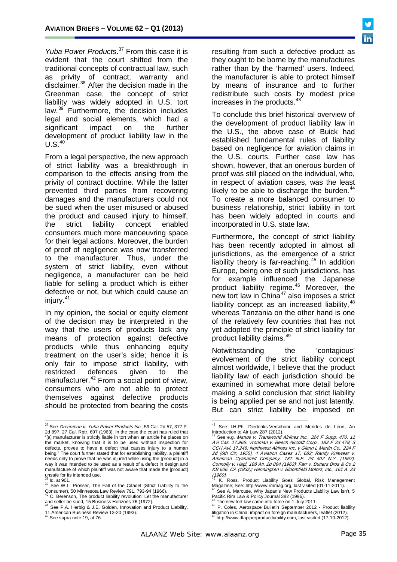*Yuba Power Products*. [37](#page-33-0) From this case it is evident that the court shifted from the traditional concepts of contractual law, such as privity of contract, warranty and disclaimer.<sup>[38](#page-34-0)</sup> After the decision made in the Greenman case, the concept of strict liability was widely adopted in U.S. tort law.<sup>[39](#page-34-1)</sup> Furthermore, the decision includes legal and social elements, which had a significant impact on the further development of product liability law in the  $U.S.<sup>40</sup>$  $U.S.<sup>40</sup>$  $U.S.<sup>40</sup>$ 

From a legal perspective, the new approach of strict liability was a breakthrough in comparison to the effects arising from the privity of contract doctrine. While the latter prevented third parties from recovering damages and the manufacturers could not be sued when the user misused or abused the product and caused injury to himself, the strict liability concept enabled consumers much more manoeuvring space for their legal actions. Moreover, the burden of proof of negligence was now transferred to the manufacturer. Thus, under the system of strict liability, even without negligence, a manufacturer can be held liable for selling a product which is either defective or not, but which could cause an injury.[41](#page-34-3)

In my opinion, the social or equity element of the decision may be interpreted in the way that the users of products lack any means of protection against defective products while thus enhancing equity treatment on the user's side; hence it is only fair to impose strict liability, with restricted defences given to the manufacturer.<sup>[42](#page-34-4)</sup> From a social point of view, consumers who are not able to protect themselves against defective products should be protected from bearing the costs resulting from such a defective product as they ought to be borne by the manufactures rather than by the 'harmed' users. Indeed, the manufacturer is able to protect himself by means of insurance and to further redistribute such costs by modest price increases in the products.<sup>[43](#page-34-5)</sup>

To conclude this brief historical overview of the development of product liability law in the U.S., the above case of Buick had established fundamental rules of liability based on negligence for aviation claims in the U.S. courts. Further case law has shown, however, that an onerous burden of proof was still placed on the individual, who, in respect of aviation cases, was the least likely to be able to discharge the burden.<sup>[44](#page-34-6)</sup> To create a more balanced consumer to business relationship, strict liability in tort has been widely adopted in courts and incorporated in U.S. state law.

Furthermore, the concept of strict liability has been recently adopted in almost all jurisdictions, as the emergence of a strict liability theory is far-reaching.<sup>[45](#page-34-0)</sup> In addition Europe, being one of such jurisdictions, has for example influenced the Japanese product liability regime.[46](#page-34-7) Moreover, the new tort law in  $China^{47}$  $China^{47}$  $China^{47}$  also imposes a strict liability concept as an increased liability,  $48$ whereas Tanzania on the other hand is one of the relatively few countries that has not yet adopted the principle of strict liability for product liability claims.<sup>[49](#page-34-4)</sup>

Notwithstanding the 'contagious' evolvement of the strict liability concept almost worldwide, I believe that the product liability law of each jurisdiction should be examined in somewhat more detail before making a solid conclusion that strict liability is being applied per se and not just latently. But can strict liability be imposed on

<span id="page-34-9"></span><span id="page-34-6"></span><span id="page-34-5"></span> $37$  See Greenman v. Yuba Power Products Inc., 59 Cal. 2d 57, 377 P. 2d 897, 27 Cal. Rptr. 697 (1963). In the case the court has ruled that "[a] manufacturer is strictly liable in tort when an article he places on the market, knowing that it is to be used without inspection for defects, proves to have a defect that causes injury to a human being." The court further stated that for establishing liability, a plaintiff needs only to prove that he was injured while using the [product] in a way it was intended to be used as a result of a defect in design and manufacture of which plaintiff was not aware that made the [product] unsafe for its intended use.

<span id="page-34-7"></span><span id="page-34-1"></span><span id="page-34-0"></span><sup>&</sup>lt;sup>39</sup> See W.L. Prosser, The Fall of the Citadel (Strict Liability to the Consumer), 50 Minnesota Law Review 791, 793-94 (1966).<br>
<sup>40</sup> C. Berenson, The product liability revolution: Let the manufacturer

<span id="page-34-2"></span>and seller be sued, 15 Business Horizons 76 (1972).

<span id="page-34-8"></span><span id="page-34-3"></span><sup>&</sup>lt;sup>41</sup> See P.A. Herbig & J.E. Golden, Innovation and Product Liability, 11 American Business Review 13-20 (1993).

<span id="page-34-4"></span><sup>&</sup>lt;sup>42</sup> See supra note 19, at 76.

<sup>43</sup> See I.H.Ph. Diederiks-Verschoor and Mendes de Leon, An Introduction to Air Law 287 (2012).

See e.g. Manos v. Transworld Airlines Inc., 324 F Supp. 470, 11 Avi Cas. 17,966; Vrooman v. Beech Aircraft Corp., 183 F 2d 479, 3 CCH Avi. 17,248; Northwest Airlines Inc. v Glenn L Martin Co., 224 F 2d (6th Cir, 1955), 4 Aviation Cases 17, 682; Randy Knitwear v. American Cyanamid Company, 181 N.E. 2d 402 N.Y. (1962); Connolly v. Hagi, 188 Atl. 2d 884 (1963); Farr v. Butters Bros & Co 2 KB 606. CA (1932); Henningsen v. Bloomfield Motors, Inc., 161 A. 2d  $(1960)$ .

 $^{45}$  K. Ross, Product Liability Goes Global, Risk Management<br>Magazine: See: http://www.rmmag.org, last visited (01-11-2011). Magazine; See: <u>http://www.rmmag.org</u>, last visited (01-11-2011).<br><sup>46</sup> See A. Marcuse, Why Japan's New Products Liability Law isn't, 5 Pacific Rim Law & Policy Journal 382 (1996).

<sup>&</sup>lt;sup>47</sup> The new tort law came into force on 1 July 2011.<br><sup>48</sup> P. Coles, Aerospace Bulletin September 2012 - Product liability<br>litigation in China: impact on foreign manufacturers, leaflet (2012). litigation in China: impact on foreign manufacturers, leaflet (2012). <sup>49</sup> [http://www.dlapiperproductliability.com, last visited \(17-10-2012\).](http://www.dlapiperproductliability.com/)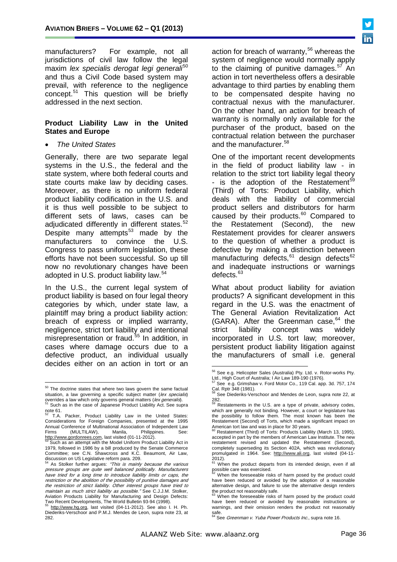manufacturers? For example, not all jurisdictions of civil law follow the legal maxim *lex specialis derogat legi generali<sup>[50](#page-34-9)</sup>* and thus a Civil Code based system may prevail, with reference to the negligence concept.<sup>[51](#page-35-0)</sup> This question will be briefly addressed in the next section.

#### **Product Liability Law in the United States and Europe**

• *The United States*

Generally, there are two separate legal systems in the U.S., the federal and the state system, where both federal courts and state courts make law by deciding cases. Moreover, as there is no uniform federal product liability codification in the U.S. and it is thus well possible to be subject to different sets of laws, cases can be adjudicated differently in different states.<sup>[52](#page-35-1)</sup> Despite many attempts $53$  made by the manufacturers to convince the U.S. Congress to pass uniform legislation, these efforts have not been successful. So up till now no revolutionary changes have been adopted in U.S. product liability law.<sup>[54](#page-35-3)</sup>

In the U.S., the current legal system of product liability is based on four legal theory categories by which, under state law, a plaintiff may bring a product liability action: breach of express or implied warranty, negligence, strict tort liability and intentional misrepresentation or fraud.<sup>[55](#page-35-4)</sup> In addition, in cases where damage occurs due to a defective product, an individual usually decides either on an action in tort or an

action for breach of warranty,  $56$  whereas the system of negligence would normally apply to the claiming of punitive damages. $57$  An action in tort nevertheless offers a desirable advantage to third parties by enabling them to be compensated despite having no contractual nexus with the manufacturer. On the other hand, an action for breach of warranty is normally only available for the purchaser of the product, based on the contractual relation between the purchaser and the manufacturer.<sup>[58](#page-35-7)</sup>

One of the important recent developments in the field of product liability law - in relation to the strict tort liability legal theory - is the adoption of the Restatement<sup>[59](#page-35-0)</sup> (Third) of Torts: Product Liability, which deals with the liability of commercial product sellers and distributors for harm caused by their products.<sup>[60](#page-35-8)</sup> Compared to the Restatement (Second), the new Restatement provides for clearer answers to the question of whether a product is defective by making a distinction between manufacturing defects,<sup>[61](#page-35-3)</sup> design defects<sup>[62](#page-35-9)</sup> and inadequate instructions or warnings defects.<sup>[63](#page-35-10)</sup>

What about product liability for aviation products? A significant development in this regard in the U.S. was the enactment of The General Aviation Revitalization Act (GARA). After the Greenman case,  $64$  the strict liability concept was widely incorporated in U.S. tort law; moreover, persistent product liability litigation against the manufacturers of small i.e. general

<span id="page-35-7"></span><span id="page-35-6"></span><span id="page-35-5"></span> $50$  The doctrine states that where two laws govern the same factual situation, a law governing a specific subject matter (lex specialis) overrides a law which only governs general matters (lex generalis).<br><sup>51</sup> Such as in the case of Japanese Product Liability Act. See supra

<span id="page-35-0"></span>note  $61.$ <sup>52</sup> T.A. Packer, Product Liability Law in the United States:

<span id="page-35-12"></span><span id="page-35-1"></span>Considerations for Foreign Companies, presented at the 1995 Annual Conference of Multinational Association of Independent Law<br>Firms (MULTILAW), Manila, Philippines. See:  $\frac{1}{100}$  (WOLTTEAW), Manila, Philippines.com, last visited (01-11-2012).

<span id="page-35-8"></span><span id="page-35-2"></span>Such as an attempt with the Model Uniform Product Liability Act in 1979, followed in 1986 by a bill produced by the Senate Commerce Committee; see C.N. Shawcross and K.C. Beaumont, Air Law,

<span id="page-35-9"></span><span id="page-35-3"></span>discussion on US Legislative reform para. 209.<br><sup>54</sup> As Stolker further argues: *"This is mainly because the various* pressure groups are quite well balanced politically. Manufacturers have tried for a long time to introduce liability limits or caps, the restriction or the abolition of the possibility of punitive damages and the restriction of strict liability. Other interest groups have tried to maintain as much strict liability as possible." See C.J.J.M. Stolker, Aviation Products Liability for Manufacturing and Design Defects:<br>Two Recent Developments, The World Bulletin 93-94 (1998).

<span id="page-35-11"></span><span id="page-35-10"></span><span id="page-35-4"></span>[http://www.hg.org,](http://www.hg.org/) last visited (04-11-2012). See also I. H. Ph. Diederiks-Verschoor and P.M.J. Mendes de Leon, supra note 23, at 282.

<sup>&</sup>lt;sup>56</sup> See e.g. Helicopter Sales (Australia) Pty. Ltd. v. Rotor-works Pty.<br>Ltd., High Court of Australia; I Air Law 189-190 (1976).<br><sup>57</sup> See a.g. Crimabau:

 $\sqrt{2}$  See e.g. Grimshaw v. Ford Motor Co., 119 Cal. app. 3d. 757, 174

Cal. Rptr 348 (1981).<br><sup>58</sup> See Diederiks-Verschoor and Mendes de Leon, supra note 22, at

<sup>282.</sup> <sup>59</sup> Restatements in the U.S. are a type of private, advisory codes, which are generally not binding. However, a court or legislature has the possibility to follow them. The most known has been the Restatement (Second) of Torts, which made a significant impact on

American tort law and was in place for 30 years.<br><sup>60</sup> Restatement (Third) of Torts: Products Liability (March 13, 1995), accepted in part by the members of American Law Institute. The new restatement revised and updated the Restatement (Second), completely superseding its Section 402A, which was revolutionary promulgated in 1964. See: [http://www.ali.org,](http://www.ali.org/) last visited (04-11-

<sup>2012).&</sup>lt;br><sup>61</sup> When the product departs from its intended design, even if all possible care was exercised.

When the foreseeable risks of harm posed by the product could have been reduced or avoided by the adoption of a reasonable alternative design, and failure to use the alternative design renders

the product not reasonably safe.<br><sup>63</sup> When the foreseeable risks of harm posed by the product could have been reduced or avoided by reasonable instructions or warnings, and their omission renders the product not reasonably safe.<br><sup>64</sup> See *Greenman v. Yuba Power Products Inc.*, supra note 16.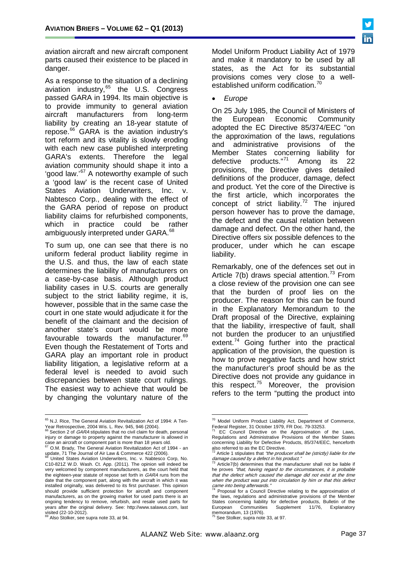aviation aircraft and new aircraft component parts caused their existence to be placed in danger.

As a response to the situation of a declining aviation industry,<sup>[65](#page-35-12)</sup> the U.S. Congress passed GARA in 1994. Its main objective is to provide immunity to general aviation aircraft manufacturers from long-term liability by creating an 18-year statute of repose.<sup>[66](#page-36-0)</sup> GARA is the aviation industry's tort reform and its vitality is slowly eroding with each new case published interpreting GARA's extents. Therefore the legal aviation community should shape it into a 'good law.'[67](#page-36-1) A noteworthy example of such a 'good law' is the recent case of United States Aviation Underwriters, Inc. v. Nabtesco Corp., dealing with the effect of the GARA period of repose on product liability claims for refurbished components, which in practice could be rather ambiguously interpreted under GARA.<sup>[68](#page-36-2)</sup>

To sum up, one can see that there is no uniform federal product liability regime in the U.S. and thus, the law of each state determines the liability of manufacturers on a case-by-case basis. Although product liability cases in U.S. courts are generally subject to the strict liability regime, it is, however, possible that in the same case the court in one state would adjudicate it for the benefit of the claimant and the decision of another state's court would be more favourable towards the manufacturer.<sup>[69](#page-36-3)</sup> Even though the Restatement of Torts and GARA play an important role in product liability litigation, a legislative reform at a federal level is needed to avoid such discrepancies between state court rulings. The easiest way to achieve that would be by changing the voluntary nature of the

Model Uniform Product Liability Act of 1979 and make it mandatory to be used by all states, as the Act for its substantial provisions comes very close to a well-established uniform codification.<sup>[70](#page-36-4)</sup>

• *Europe*

On 25 July 1985, the Council of Ministers of the European Economic Community adopted the EC Directive 85/374/EEC "on the approximation of the laws, regulations and administrative provisions of the Member States concerning liability for defective products."[71](#page-36-0) Among its 22 provisions, the Directive gives detailed definitions of the producer, damage, defect and product. Yet the core of the Directive is the first article, which incorporates the concept of strict liability. $72$  The injured person however has to prove the damage, the defect and the causal relation between damage and defect. On the other hand, the Directive offers six possible defences to the producer, under which he can escape liability.

Remarkably, one of the defences set out in Article  $7(b)$  draws special attention.<sup>[73](#page-36-6)</sup> From a close review of the provision one can see that the burden of proof lies on the producer. The reason for this can be found in the Explanatory Memorandum to the Draft proposal of the Directive, explaining that the liability, irrespective of fault, shall not burden the producer to an unjustified extent.<sup>[74](#page-36-7)</sup> Going further into the practical application of the provision, the question is how to prove negative facts and how strict the manufacturer's proof should be as the Directive does not provide any guidance in this respect.[75](#page-36-3) Moreover, the provision refers to the term "putting the product into

memorandum, 13 (1976). <sup>75</sup> See Stolker, supra note 33, at 97.

<span id="page-36-4"></span><sup>65</sup> N.J. Rice, The General Aviation Revitalization Act of 1994: A Ten-Year Retrospective, 2004 Wis. L. Rev. 945, 946 (2004).

<span id="page-36-8"></span><span id="page-36-0"></span> $66$  Section 2 of *GARA* stipulates that no civil claim for death, personal injury or damage to property against the manufacturer is allowed in case an aircraft or component part is more than 18 years old.<br><sup>67</sup> O.M. Brady, The General Aviation Revitalization Act of 1994 - an

<span id="page-36-1"></span>update, 71 The Journal of Air Law & Commerce 422 (2006).

<span id="page-36-6"></span><span id="page-36-5"></span><span id="page-36-2"></span>[United States Aviation Underwriters, Inc. v. Nabtesco Corp,](http://www.ca9.uscourts.gov/datastore/opinions/2012/10/01/11-35440.pdf) No. C10-821Z W.D. Wash. Ct. App. (2011). The opinion will indeed be very welcomed by component manufacturers, as the court held that the eighteen-year statute of repose set forth in GARA runs from the date that the component part, along with the aircraft in which it was installed originally, was delivered to its first purchaser. This opinion should provide sufficient protection for aircraft and component manufacturers, as on the growing market for used parts there is an ongoing tendency to remove, refurbish, and resale used parts for years after the original delivery. See: [http://www.salawus.com,](http://www.salawus.com/) last visited (22-10-2012).

<span id="page-36-7"></span><span id="page-36-3"></span><sup>&</sup>lt;sup>9</sup> Also Stolker, see supra note 33, at 94.

<sup>&</sup>lt;sup>70</sup> Model Uniform Product Liability Act, Department of Commerce, Federal Register, 31 October 1979, FR Doc. 79-33253.

Federal Register, 31 October 1979, FR Doc. 79-33253.<br><sup>71</sup> EC Council Directive on the Approximation of the Laws, Regulations and Administrative Provisions of the Member States concerning Liability for Defective Products, 85/374/EEC, henceforth

also referred to as the EC Directive.<br><sup>72</sup> Article 1 stipulates that *"the producer shall be (strictly) liable for the* damage caused by a defect in his product."

Article7(b) determines that the manufacturer shall not be liable if he proves "that, having regard to the circumstances, it is probable that the defect which caused the damage did not exist at the time when the product was put into circulation by him or that this defect came into being afterwards."

Proposal for a Council Directive relating to the approximation of the laws, regulations and administrative provisions of the Member States concerning liability for defective products, Bulletin of the European Communities Supplement 11/76, Explanatory Communities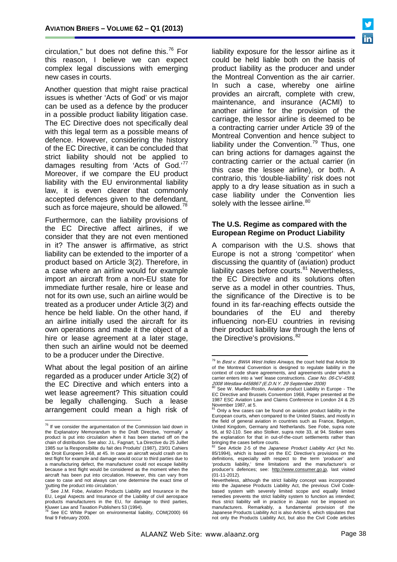circulation," but does not define this. $76$  For this reason, I believe we can expect complex legal discussions with emerging new cases in courts.

Another question that might raise practical issues is whether 'Acts of God' or vis major can be used as a defence by the producer in a possible product liability litigation case. The EC Directive does not specifically deal with this legal term as a possible means of defence. However, considering the history of the EC Directive, it can be concluded that strict liability should not be applied to damages resulting from 'Acts of God.'<sup>[77](#page-37-0)</sup> Moreover, if we compare the EU product liability with the EU environmental liability law, it is even clearer that commonly accepted defences given to the defendant, such as force majeure, should be allowed.<sup>[78](#page-37-1)</sup>

Furthermore, can the liability provisions of the EC Directive affect airlines, if we consider that they are not even mentioned in it? The answer is affirmative, as strict liability can be extended to the importer of a product based on Article 3(2). Therefore, in a case where an airline would for example import an aircraft from a non-EU state for immediate further resale, hire or lease and not for its own use, such an airline would be treated as a producer under Article 3(2) and hence be held liable. On the other hand, if an airline initially used the aircraft for its own operations and made it the object of a hire or lease agreement at a later stage, then such an airline would not be deemed to be a producer under the Directive.

<span id="page-37-3"></span><span id="page-37-2"></span>What about the legal position of an airline regarded as a producer under Article 3(2) of the EC Directive and which enters into a wet lease agreement? This situation could be legally challenging. Such a lease arrangement could mean a high risk of liability exposure for the lessor airline as it could be held liable both on the basis of product liability as the producer and under the Montreal Convention as the air carrier. In such a case, whereby one airline provides an aircraft, complete with crew, maintenance, and insurance (ACMI) to another airline for the provision of the carriage, the lessor airline is deemed to be a contracting carrier under Article 39 of the Montreal Convention and hence subject to liability under the Convention.<sup>[79](#page-37-2)</sup> Thus, one can bring actions for damages against the contracting carrier or the actual carrier (in this case the lessee airline), or both. A contrario, this 'double-liability' risk does not apply to a dry lease situation as in such a case liability under the Convention lies solely with the lessee airline.<sup>[80](#page-37-3)</sup>

#### **The U.S. Regime as compared with the European Regime on Product Liability**

A comparison with the U.S. shows that Europe is not a strong 'competitor' when discussing the quantity of (aviation) product liability cases before courts. $81$  Nevertheless, the EC Directive and its solutions often serve as a model in other countries. Thus, the significance of the Directive is to be found in its far-reaching effects outside the boundaries of the EU and thereby influencing non-EU countries in revising their product liability law through the lens of the Directive's provisions. $82$ 

<span id="page-37-5"></span><span id="page-37-4"></span> $76$  If we consider the argumentation of the Commission laid down in the Explanatory Memorandum to the Draft Directive, 'normally' a product is put into circulation when it has been started off on the chain of distribution. See also: J.L. Fagnart, 'La Directive du 25 Juillet 1985 sur la Responsibilite du fait des Produits' (1987), 23/01 Cahiers de Droit Europeen 3-68, at 45. In case an aircraft would crash on its test flight for example and damage would occur to third parties due to a manufacturing defect, the manufacturer could not escape liability because a test flight would be considered as the moment when the aircraft has been put into circulation. However, this can vary from case to case and not always can one determine the exact time of 'putting the product into circulation.'

<span id="page-37-6"></span><span id="page-37-0"></span>See J.M. Fobe, Aviation Products Liability and Insurance in the EU, Legal Aspects and Insurance of the Liability of civil aerospace products manufacturers in the EU, for damage to third parties, Kluwer Law and Taxation Publishers 53 (1994).

<span id="page-37-1"></span>See EC White Paper on environmental liability, COM(2000) 66 final 9 February 2000.

 $79$  In Best v. BWIA West Indies Airways, the court held that Article 39 of the Montreal Convention is designed to regulate liability in the context of code share agreements, and agreements under which a carrier enters into a 'wet' lease constructions. Case No. 06-CV-4589, 2008 Westlaw 4458867 (E.D.N.Y. 29 September 2008)

See W. Mueller-Rostin, Aviation product Liability in Europe - The EC Directive and Brussels Convention 1968, Paper presented at the 1987 ESC Aviation Law and Claims Conference in London 24 & 25 November 1987, at 5.

Only a few cases can be found on aviation product liability in the European courts, when compared to the United States, and mostly in the field of general aviation in countries such as France, Belgium, United Kingdom, Germany and Netherlands. See Fobe, supra note 56, at 92-110. See also Stolker, supra note 33, at 94. Stolker sees the explanation for that in out-of-the-court settlements rather than

bringing the cases before courts. <sup>82</sup> See Article 2-5 of the *Japanese Product Liability Act* (Act No. 85/1994), which is based on the EC Directive's provisions on the definitions, especially with respect to the term 'producer' and 'products liability,' time limitations and the manufacturer's or producer's defences; see: [http://www.consumer.go.jp,](http://www.consumer.go.jp/) last visited (01-11-2012).

Nevertheless, although the strict liability concept was incorporated into the Japanese Products Liability Act, the previous Civil Codebased system with severely limited scope and equally limited remedies prevents the strict liability system to function as intended; thus strict liability will in practice in Japan not be imposed on manufacturers. Remarkably, a fundamental provision of the Japanese Products Liability Act is also Article 6, which stipulates that not only the Products Liability Act, but also the Civil Code articles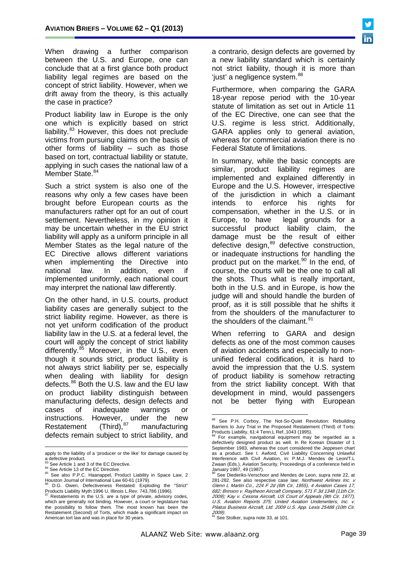When drawing a further comparison between the U.S. and Europe, one can conclude that at a first glance both product liability legal regimes are based on the concept of strict liability. However, when we drift away from the theory, is this actually the case in practice?

Product liability law in Europe is the only one which is explicitly based on strict liability.<sup>[83](#page-37-6)</sup> However, this does not preclude victims from pursuing claims on the basis of other forms of liability – such as those based on tort, contractual liability or statute, applying in such cases the national law of a Member State.<sup>[84](#page-38-0)</sup>

Such a strict system is also one of the reasons why only a few cases have been brought before European courts as the manufacturers rather opt for an out of court settlement. Nevertheless, in my opinion it may be uncertain whether in the EU strict liability will apply as a uniform principle in all Member States as the legal nature of the EC Directive allows different variations when implementing the Directive into national law. In addition, even if implemented uniformly, each national court may interpret the national law differently.

On the other hand, in U.S. courts, product liability cases are generally subject to the strict liability regime. However, as there is not yet uniform codification of the product liability law in the U.S. at a federal level, the court will apply the concept of strict liability differently.<sup>[85](#page-38-1)</sup> Moreover, in the U.S., even though it sounds strict, product liability is not always strict liability per se, especially when dealing with liability for design defects.<sup>[86](#page-38-2)</sup> Both the U.S. law and the EU law on product liability distinguish between manufacturing defects, design defects and cases of inadequate warnings or instructions. However, under the new Restatement  $(Third),<sup>87</sup>$  $(Third),<sup>87</sup>$  $(Third),<sup>87</sup>$  manufacturing defects remain subject to strict liability, and

<span id="page-38-5"></span><span id="page-38-4"></span> $\overline{a}$ 

a contrario, design defects are governed by a new liability standard which is certainly not strict liability, though it is more than 'just' a negligence system. [88](#page-38-4)

Furthermore, when comparing the GARA 18-year repose period with the 10-year statute of limitation as set out in Article 11 of the EC Directive, one can see that the U.S. regime is less strict. Additionally, GARA applies only to general aviation, whereas for commercial aviation there is no Federal Statute of limitations.

In summary, while the basic concepts are similar, product liability regimes are implemented and explained differently in Europe and the U.S. However, irrespective of the jurisdiction in which a claimant intends to enforce his rights for compensation, whether in the U.S. or in Europe, to have legal grounds for a successful product liability claim, the damage must be the result of either defective design,<sup>[89](#page-38-5)</sup> defective construction, or inadequate instructions for handling the product put on the market.<sup>[90](#page-38-1)</sup> In the end, of course, the courts will be the one to call all the shots. Thus what is really important, both in the U.S. and in Europe, is how the judge will and should handle the burden of proof, as it is still possible that he shifts it from the shoulders of the manufacturer to the shoulders of the claimant.<sup>[91](#page-38-6)</sup>

When referring to GARA and design defects as one of the most common causes of aviation accidents and especially to nonunified federal codification, it is hard to avoid the impression that the U.S. system of product liability is somehow retracting from the strict liability concept. With that development in mind, would passengers not be better flying with European

<sup>91</sup> See Stolker, supra note 33, at 101.

apply to the liability of a 'producer or the like' for damage caused by a defective product.<br>a defective product.<br> $^{83}$  See Article 1 and 3 of the EC Directive.

<span id="page-38-1"></span><span id="page-38-0"></span><sup>&</sup>lt;sup>84</sup> See Article 13 of the EC Directive.<br><sup>85</sup> See also P.P.C. Haanappel, Product Liability in Space Law, 2<br>Houston Journal of International Law 60-61 (1979).

<span id="page-38-2"></span>D.G. Owen. Defectiveness Restated: Exploding the "Strict"

<span id="page-38-7"></span><span id="page-38-6"></span><span id="page-38-3"></span>Products Liability Myth 1996 U. Illinois L.Rev. 743,786 (1996).<br><sup>87</sup> Restatements in the U.S. are a type of private, advisory codes, which are generally not binding. However, a court or legislature has the possibility to follow them. The most known has been the Restatement (Second) of Torts, which made a significant impact on American tort law and was in place for 30 years.

<sup>88</sup> See P.H. Corboy, The Not-So-Quiet Revolution: Rebuilding Barriers to Jury Trial in the Proposed Restatement (Third) of Torts:

Products Liability, 61:4 Tenn.L Ref.,1043 (1995). <sup>89</sup> For example, navigational equipment may be regarded as a defectively designed product as well. In Re Korean Disaster of 1 September 1983, whereas the court considered the Jeppesen chart as a product. See I. Awford, Civil Liability Concerning Unlawful Interference with Civil Aviation, in: P.M.J. Mendes de Leon/T.L Zwaan (Eds.), Aviation Security, Proceedings of a conference held in January 1987, 49 (1987).

See Diederiks-Verschoor and Mendes de Leon, supra note 22, at 281-282. See also respective case law: Northwest Airlines Inc. v Glenn L Martin Co., 224 F 2d (6th Cir, 1955), 4 Aviation Cases 17, 682; Brinson v. Raytheon Aircraft Company, 571 F.3d 1348 (11th Cir. 2009); Kay v. Cessna Aircraft, US Court of Appeals (9th Cir. 1977), U.S. Aviation Reports 375; United Aviation Underwriters, Inc. v. Pilatus Business Aircraft, Ltd. 2009 U.S. App. Lexis 25488 (10th Cir. 2009).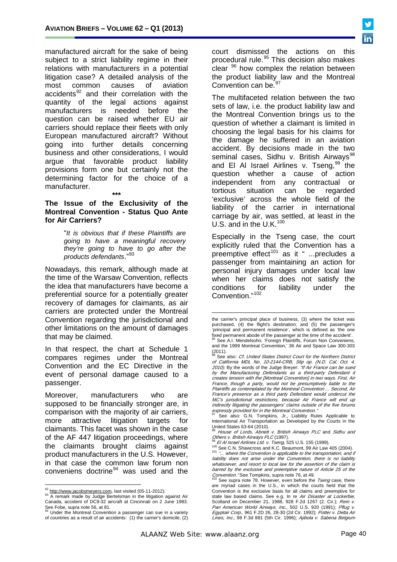manufactured aircraft for the sake of being subject to a strict liability regime in their relations with manufacturers in a potential litigation case? A detailed analysis of the most common causes of aviation accidents<sup>[92](#page-38-7)</sup> and their correlation with the quantity of the legal actions against manufacturers is needed before the question can be raised whether EU air carriers should replace their fleets with only European manufactured aircraft? Without going into further details concerning business and other considerations, I would argue that favorable product liability provisions form one but certainly not the determining factor for the choice of a manufacturer.

#### **\*\*\* The Issue of the Exclusivity of the Montreal Convention - Status Quo Ante for Air Carriers?**

"*It is obvious that if these Plaintiffs are going to have a meaningful recovery they're going to have to go after the products defendants*."[93](#page-39-0)

Nowadays, this remark, although made at the time of the Warsaw Convention, reflects the idea that manufacturers have become a preferential source for a potentially greater recovery of damages for claimants, as air carriers are protected under the Montreal Convention regarding the jurisdictional and other limitations on the amount of damages that may be claimed.

<span id="page-39-3"></span><span id="page-39-2"></span>In that respect, the chart at Schedule 1 compares regimes under the Montreal Convention and the EC Directive in the event of personal damage caused to a passenger.

<span id="page-39-10"></span><span id="page-39-5"></span><span id="page-39-4"></span>Moreover, manufacturers who are supposed to be financially stronger are, in comparison with the majority of air carriers, more attractive litigation targets for claimants. This facet was shown in the case of the AF 447 litigation proceedings, where the claimants brought claims against product manufacturers in the U.S. However, in that case the common law forum non conveniens doctrine $94$  was used and the

court dismissed the actions on this procedural rule.[95](#page-39-2) This decision also makes clear <sup>[96](#page-39-3)</sup> how complex the relation between the product liability law and the Montreal Convention can be.<sup>[97](#page-39-4)</sup>

The multifaceted relation between the two sets of law, i.e. the product liability law and the Montreal Convention brings us to the question of whether a claimant is limited in choosing the legal basis for his claims for the damage he suffered in an aviation accident. By decisions made in the two seminal cases, Sidhu v. British Airways<sup>[98](#page-39-5)</sup> and El Al Israel Airlines v. Tseng,  $99$  the question whether a cause of action<br>independent from any contractual or independent from any tortious situation can be regarded 'exclusive' across the whole field of the liability of the carrier in international carriage by air, was settled, at least in the U.S. and in the U.K.<sup>[100](#page-39-7)</sup>

Especially in the Tseng case, the court explicitly ruled that the Convention has a preemptive effect<sup>[101](#page-39-8)</sup> as it " ...precludes a passenger from maintaining an action for personal injury damages under local law when her claims does not satisfy the conditions for liability under the Convention."[102](#page-39-9)

<span id="page-39-9"></span><span id="page-39-8"></span><span id="page-39-7"></span><span id="page-39-6"></span><span id="page-39-0"></span> $\frac{92}{33}$  [http://www.jacobymeyers.com,](http://www.jacobymeyers.com/) last visited (05-11-2012).<br><sup>93</sup> A remark made by Judge Bertelsman in the litigation against Air Canada, accident of DC9-32 aircraft at Cincinnati on 2 June 1983.

<span id="page-39-1"></span>See Fobe, supra note 56, at 81. <sup>94</sup> Under the Montreal Convention a passenger can sue in a variety of countries as a result of air accidents: (1) the carrier's domicile, (2)

the carrier's principal place of business, (3) where the ticket was purchased, (4) the flight's destination, and (5) the passenger's 'principal and permanent residence', which is defined as 'the one fixed permanent abode of the passenger at the time of the accident'.<br><sup>95</sup> See A.I. Mendelsohn, 'Foreign Plaintiffs, Forum Non Conveniens,

and the 1999 Montreal Convention,' 36 Air and Space Law 300-303  $(2011).$ 

 $^6$  See also: Cf. United States District Court for the Northern District of California MDL No. 10-2144-CRB, Slip op. (N.D. Cal. Oct. 4, 2010). By the words of the Judge Breyer: "If Air France can be sued by the Manufacturing Defendants as a third-party Defendant it creates tension with the [Montreal Convention] in two ways. First, Air France, though a party, would not be presumptively liable to the Plaintiffs as contemplated by the Montreal Convention ... Second, Air France's presence as a third party Defendant would undercut the MC's jurisdictional restrictions, because Air France will end up indirectly litigating the passengers' claims outside of the five forums expressly provided for in the Montreal Convention."

See also: G.N. Tompkins, Jr., Liability Rules Applicable to International Air Transportation as Developed by the Courts in the United States 63-64 (2010).

<sup>&</sup>lt;sup>98</sup> House of Lords, Abnett v. British Airways PLC and Sidhu and Others v. British Airways PLC (1997).

 $^{99}$  El Al Israel Airlines Ltd. v. Tseng, 525 U.S. 155 (1999).<br> $^{100}$  See C.N. Shawcross and K.C. Beaumont, 99 Air Law 405 (2004).<br> $^{101}$  "... where the Convention is applicable to the transportation, and if liability does not arise under the Convention, there is no liability whatsoever, and resort to local law for the assertion of the claim is barred by the exclusive and preemptive nature of Article 25 of the Convention. "See Tompkins, supra note 76, at 49.

See supra note 78. However, even before the Tseng case, there are myriad cases in the U.S., in which the courts held that the Convention is the exclusive basis for all claims and preemptive for state law based claims. See e.g. In re Air Disaster at Lockerbie, Scotland on December 21, 1988, 928 F.2d 1267 (2. Cir.); Rein v. Pan American World Airways, Inc., 502 U.S. 920 (1991); Pflug v. Egyptair Corp., 961 F.2D 26, 28-30 (2d Cir. 1992); Potter v. Delta Air Lines, Inc., 98 F.3d 881 (5th Cir. 1996); Ajibola v. Sabena Belgium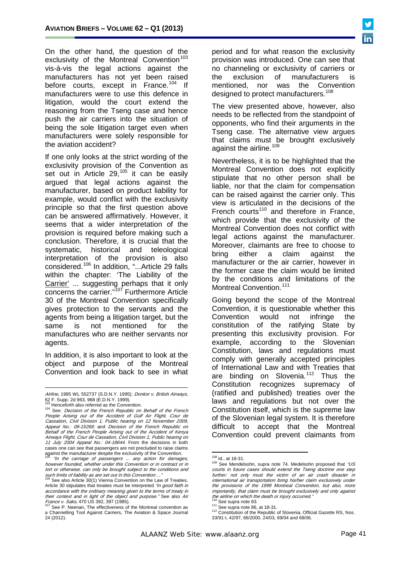On the other hand, the question of the exclusivity of the Montreal Convention $103$ vis-à-vis the legal actions against the manufacturers has not yet been raised before courts, except in France.<sup>[104](#page-40-0)</sup> If manufacturers were to use this defence in litigation, would the court extend the reasoning from the Tseng case and hence push the air carriers into the situation of being the sole litigation target even when manufacturers were solely responsible for the aviation accident?

If one only looks at the strict wording of the exclusivity provision of the Convention as set out in Article  $29.105$  $29.105$  it can be easily argued that legal actions against the manufacturer, based on product liability for example, would conflict with the exclusivity principle so that the first question above can be answered affirmatively. However, it seems that a wider interpretation of the provision is required before making such a conclusion. Therefore, it is crucial that the systematic, historical and teleological interpretation of the provision is also considered.[106](#page-40-2) In addition, "...Article 29 falls within the chapter: 'The Liability of the Carrier' ... suggesting perhaps that it only concerns the carrier."<sup>[107](#page-40-3)</sup> Furthermore Article 30 of the Montreal Convention specifically gives protection to the servants and the agents from being a litigation target, but the same is not mentioned for the manufactures who are neither servants nor agents.

In addition, it is also important to look at the object and purpose of the Montreal Convention and look back to see in what period and for what reason the exclusivity provision was introduced. One can see that no channeling or exclusivity of carriers or the exclusion of manufacturers is<br>mentioned, nor was the Convention was the Convention designed to protect manufacturers.<sup>[108](#page-40-1)</sup>

The view presented above, however, also needs to be reflected from the standpoint of opponents, who find their arguments in the Tseng case. The alternative view argues that claims must be brought exclusively against the airline.<sup>[109](#page-40-4)</sup>

Nevertheless, it is to be highlighted that the Montreal Convention does not explicitly stipulate that no other person shall be liable, nor that the claim for compensation can be raised against the carrier only. This view is articulated in the decisions of the French courts<sup>[110](#page-40-5)</sup> and therefore in France. which provide that the exclusivity of the Montreal Convention does not conflict with legal actions against the manufacturer. Moreover, claimants are free to choose to bring either a claim against the manufacturer or the air carrier, however in the former case the claim would be limited by the conditions and limitations of the Montreal Convention.<sup>[111](#page-40-3)</sup>

Going beyond the scope of the Montreal Convention, it is questionable whether this Convention would not infringe the constitution of the ratifying State by presenting this exclusivity provision. For example, according to the Slovenian Constitution, laws and regulations must comply with generally accepted principles of International Law and with Treaties that are binding on Slovenia.<sup>[112](#page-40-6)</sup> Thus the Constitution recognizes supremacy of (ratified and published) treaties over the laws and regulations but not over the Constitution itself, which is the supreme law of the Slovenian legal system. It is therefore difficult to accept that the Montreal Convention could prevent claimants from

 $\overline{a}$ *Airline*, 1995 WL 552737 (S.D.N.Y. 1995); *Donkor v. British Airways*, 62 F. Supp. 2d 963, 968 (E.D.N.Y. 1999).<br>
<sup>103</sup> Henceforth also referred as the Convention.<br>
<sup>104</sup> See: *Decision of the French Republic on Behalf of the French* 

<span id="page-40-0"></span>People Arising out of the Accident of Gulf Air Flight, Cour de Cassation, Civil Division 1, Public hearing on 12 November 2009, Appeal No.: 08-15269; and Decision of the French Republic on Behalf of the French People Arising out of the Accident of Kenya Airways Flight, Cour de Cassation, Civil Division 1, Public hearing on 11 July 2004 Appeal No.: 04-18644. From the decisions in both cases one can see that passengers are not precluded to raise claims against the manufacturer despite the exclusivity of the Convention.

<span id="page-40-4"></span><span id="page-40-1"></span><sup>&</sup>quot;In the carriage of passengers ... any action for damages, however founded, whether under this Convention or in contract or in tort or otherwise, can only be brought subject to the conditions and such limits of liability as are set out in this Convention ...<br>
<sup>106</sup> See alse Artial *CONVERT AS ARE* Set out in this Convention ...

<span id="page-40-2"></span>See also Article 30(1) Vienna Convention on the Law of Treaties. Article 30 stipulates that treaties must be interpreted "in good faith in accordance with the ordinary meaning given to the terms of treaty in their context and in light of the object and purpose." See also Air France v. Saks, 470 US 392, 397 (1985).  $107 \text{ See } P$ . Neenan, The effectiveness of the Montreal convention as

<span id="page-40-6"></span><span id="page-40-5"></span><span id="page-40-3"></span>a Channelling Tool Against Carriers, The Aviation & Space Journal 24 (2012).

<sup>&</sup>lt;sup>108</sup> Id., at 18-31.<br><sup>109</sup> See Mendelsohn, supra note 74. Medelsohn proposed that "US courts in future cases should extend the Tseng doctrine one step further: not only must the victim of an air crash disaster in international air transportation bring his/her claim exclusively under the provisions of the 1999 Montreal Convention, but also, more importantly, that claim must be brought exclusively and only against the airline on which the death or injury occurred."<br><sup>110</sup> See supra note 83.

<sup>111</sup> See supra note 86, at 18-31.<br><sup>112</sup> Constitution of the Republic of Slovenia, Official Gazette RS, Nos. 33/91-I, 42/97, 66/2000, 24/03, 69/04 and 68/06.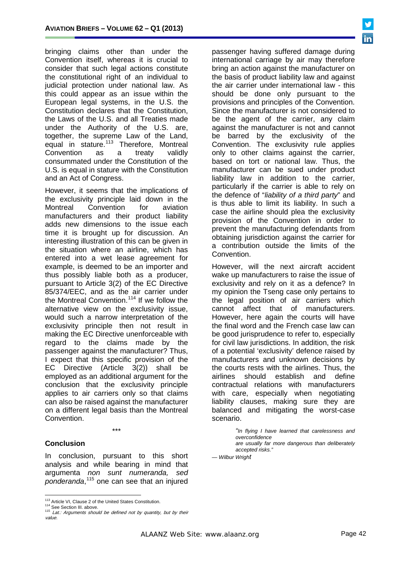bringing claims other than under the Convention itself, whereas it is crucial to consider that such legal actions constitute the constitutional right of an individual to judicial protection under national law. As this could appear as an issue within the European legal systems, in the U.S. the Constitution declares that the Constitution, the Laws of the U.S. and all Treaties made under the Authority of the U.S. are, together, the supreme Law of the Land, equal in stature.<sup>[113](#page-40-5)</sup> Therefore, Montreal Convention as a treaty validly consummated under the Constitution of the U.S. is equal in stature with the Constitution and an Act of Congress.

However, it seems that the implications of the exclusivity principle laid down in the Montreal Convention for aviation manufacturers and their product liability adds new dimensions to the issue each time it is brought up for discussion. An interesting illustration of this can be given in the situation where an airline, which has entered into a wet lease agreement for example, is deemed to be an importer and thus possibly liable both as a producer, pursuant to Article 3(2) of the EC Directive 85/374/EEC, and as the air carrier under the Montreal Convention.<sup>[114](#page-41-0)</sup> If we follow the alternative view on the exclusivity issue, would such a narrow interpretation of the exclusivity principle then not result in making the EC Directive unenforceable with regard to the claims made by the passenger against the manufacturer? Thus, I expect that this specific provision of the EC Directive (Article 3(2)) shall be employed as an additional argument for the conclusion that the exclusivity principle applies to air carriers only so that claims can also be raised against the manufacturer on a different legal basis than the Montreal Convention.

\*\*\*

#### **Conclusion**

In conclusion, pursuant to this short analysis and while bearing in mind that argumenta *non sunt numeranda, sed ponderanda*, [115](#page-41-1) one can see that an injured passenger having suffered damage during international carriage by air may therefore bring an action against the manufacturer on the basis of product liability law and against the air carrier under international law - this should be done only pursuant to the provisions and principles of the Convention. Since the manufacturer is not considered to be the agent of the carrier, any claim against the manufacturer is not and cannot be barred by the exclusivity of the Convention. The exclusivity rule applies only to other claims against the carrier, based on tort or national law. Thus, the manufacturer can be sued under product liability law in addition to the carrier, particularly if the carrier is able to rely on the defence of "*liability of a third party*" and is thus able to limit its liability. In such a case the airline should plea the exclusivity provision of the Convention in order to prevent the manufacturing defendants from obtaining jurisdiction against the carrier for a contribution outside the limits of the Convention.

However, will the next aircraft accident wake up manufacturers to raise the issue of exclusivity and rely on it as a defence? In my opinion the Tseng case only pertains to the legal position of air carriers which cannot affect that of manufacturers. However, here again the courts will have the final word and the French case law can be good jurisprudence to refer to, especially for civil law jurisdictions. In addition, the risk of a potential 'exclusivity' defence raised by manufacturers and unknown decisions by the courts rests with the airlines. Thus, the airlines should establish and define contractual relations with manufacturers with care, especially when negotiating liability clauses, making sure they are balanced and mitigating the worst-case scenario.

> *"In flying I have learned that carelessness and overconfidence are usually far more dangerous than deliberately accepted risks."*

*— Wilbur Wright*

<span id="page-41-1"></span><span id="page-41-0"></span>

<sup>&</sup>lt;sup>113</sup> [Article VI,](http://en.wikipedia.org/wiki/Article_Six_of_the_United_States_Constitution) Clause 2 of the [United States Constitution.](http://en.wikipedia.org/wiki/United_States_Constitution)<br><sup>114</sup> See Section III. above.<br><sup>115</sup> Lat.: Arguments should be defined not by quantity, but by their<br>value.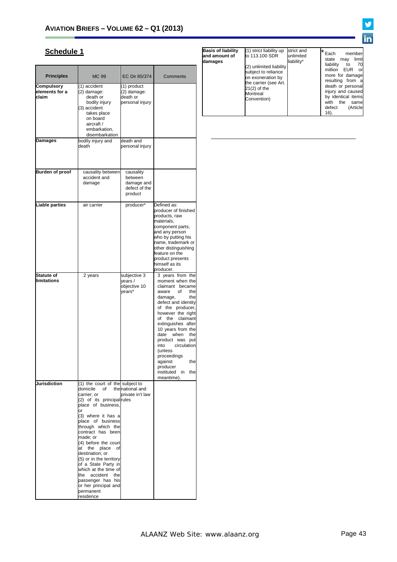# **Schedule 1**

<span id="page-42-0"></span>

| <b>Principles</b>                       | MC 99                                                                                                                                                                                                                                                                                                                                                                                                                                                                   | EC Dir 85/374                                                  | Comments                                                                                                                                                                                                                                                                                                                                                                                     |
|-----------------------------------------|-------------------------------------------------------------------------------------------------------------------------------------------------------------------------------------------------------------------------------------------------------------------------------------------------------------------------------------------------------------------------------------------------------------------------------------------------------------------------|----------------------------------------------------------------|----------------------------------------------------------------------------------------------------------------------------------------------------------------------------------------------------------------------------------------------------------------------------------------------------------------------------------------------------------------------------------------------|
| Compulsory<br>elements for a<br>claim   | (1) accident<br>(2) damage:<br>death or<br>bodily injury<br>(3) accident<br>takes place<br>on board<br>aircraft /<br>embarkation,<br>disembarkation                                                                                                                                                                                                                                                                                                                     | (1) product<br>(2) damage:<br>death or<br>personal injury      |                                                                                                                                                                                                                                                                                                                                                                                              |
| Damages                                 | bodily injury and<br>death                                                                                                                                                                                                                                                                                                                                                                                                                                              | death and<br>personal injury                                   |                                                                                                                                                                                                                                                                                                                                                                                              |
| <b>Burden of proof</b>                  | causality between<br>accident and<br>damage                                                                                                                                                                                                                                                                                                                                                                                                                             | causality<br>between<br>damage and<br>defect of the<br>product |                                                                                                                                                                                                                                                                                                                                                                                              |
| <b>Liable parties</b>                   | air carrier                                                                                                                                                                                                                                                                                                                                                                                                                                                             | producer*                                                      | Defined as:<br>producer of finished<br>products, raw<br>materials,<br>component parts,<br>and any person<br>who by putting his<br>name, trademark or<br>other distinguishing<br>feature on the<br>product presents<br>himself as its<br>producer.                                                                                                                                            |
| <b>Statute of</b><br><b>limitations</b> | 2 years                                                                                                                                                                                                                                                                                                                                                                                                                                                                 | subjective 3<br>years /<br>objective 10<br>vears*              | 3 years from the<br>moment when the<br>claimant became<br>aware of<br>the<br>damage,<br>the<br>defect and identity<br>of the producer,<br>however the right<br>of the claimant<br>extinguishes after<br>10 years from the<br>date<br>when<br>the<br>product was put<br>circulation<br>into<br>(unless)<br>proceedings<br>against<br>the<br>producer<br>instituted<br>in<br>the<br>meantime). |
| <b>Jurisdiction</b>                     | (1) the court of the subject to<br>domicile<br>carrier; or<br>(2) of its principal rules<br>place of business.<br>or<br>(3) where it has a<br>place of business<br>through which the<br>contract has been<br>made; or<br>(4) before the court<br>place<br>at<br>the<br>of<br>destination; or<br>(5) or in the territory<br>of a State Party in<br>which at the time of<br>the<br>accident<br>the<br>passenger has his<br>or her principal and<br>permanent<br>residence | of the national and<br>private in't law                        |                                                                                                                                                                                                                                                                                                                                                                                              |